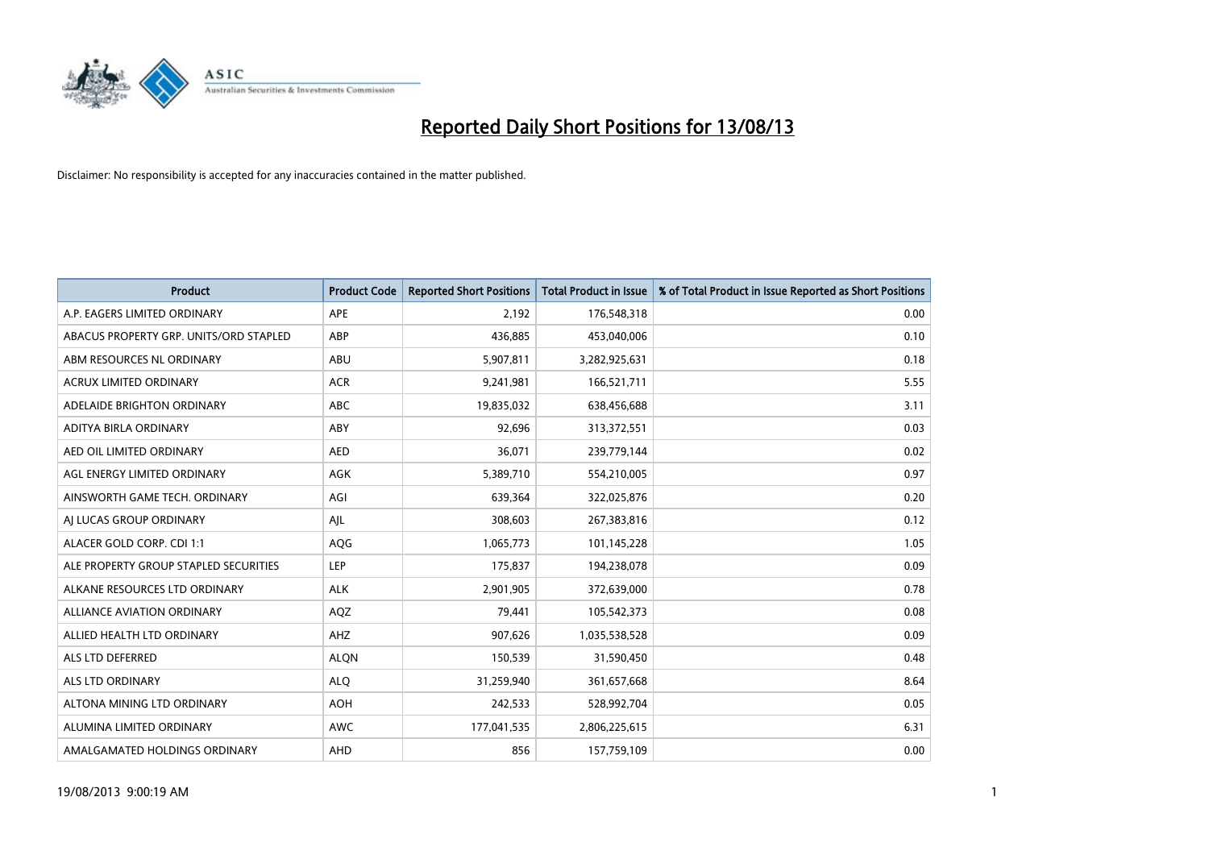

| <b>Product</b>                         | <b>Product Code</b> | <b>Reported Short Positions</b> | <b>Total Product in Issue</b> | % of Total Product in Issue Reported as Short Positions |
|----------------------------------------|---------------------|---------------------------------|-------------------------------|---------------------------------------------------------|
| A.P. EAGERS LIMITED ORDINARY           | <b>APE</b>          | 2,192                           | 176,548,318                   | 0.00                                                    |
| ABACUS PROPERTY GRP. UNITS/ORD STAPLED | ABP                 | 436,885                         | 453,040,006                   | 0.10                                                    |
| ABM RESOURCES NL ORDINARY              | ABU                 | 5,907,811                       | 3,282,925,631                 | 0.18                                                    |
| <b>ACRUX LIMITED ORDINARY</b>          | <b>ACR</b>          | 9,241,981                       | 166,521,711                   | 5.55                                                    |
| ADELAIDE BRIGHTON ORDINARY             | <b>ABC</b>          | 19,835,032                      | 638,456,688                   | 3.11                                                    |
| ADITYA BIRLA ORDINARY                  | ABY                 | 92,696                          | 313,372,551                   | 0.03                                                    |
| AED OIL LIMITED ORDINARY               | <b>AED</b>          | 36,071                          | 239,779,144                   | 0.02                                                    |
| AGL ENERGY LIMITED ORDINARY            | AGK                 | 5,389,710                       | 554,210,005                   | 0.97                                                    |
| AINSWORTH GAME TECH. ORDINARY          | AGI                 | 639,364                         | 322,025,876                   | 0.20                                                    |
| AI LUCAS GROUP ORDINARY                | AJL                 | 308,603                         | 267,383,816                   | 0.12                                                    |
| ALACER GOLD CORP. CDI 1:1              | AQG                 | 1,065,773                       | 101,145,228                   | 1.05                                                    |
| ALE PROPERTY GROUP STAPLED SECURITIES  | <b>LEP</b>          | 175,837                         | 194,238,078                   | 0.09                                                    |
| ALKANE RESOURCES LTD ORDINARY          | <b>ALK</b>          | 2,901,905                       | 372,639,000                   | 0.78                                                    |
| <b>ALLIANCE AVIATION ORDINARY</b>      | AQZ                 | 79,441                          | 105,542,373                   | 0.08                                                    |
| ALLIED HEALTH LTD ORDINARY             | AHZ                 | 907,626                         | 1,035,538,528                 | 0.09                                                    |
| ALS LTD DEFERRED                       | <b>ALQN</b>         | 150,539                         | 31,590,450                    | 0.48                                                    |
| ALS LTD ORDINARY                       | <b>ALQ</b>          | 31,259,940                      | 361,657,668                   | 8.64                                                    |
| ALTONA MINING LTD ORDINARY             | <b>AOH</b>          | 242,533                         | 528,992,704                   | 0.05                                                    |
| ALUMINA LIMITED ORDINARY               | <b>AWC</b>          | 177,041,535                     | 2,806,225,615                 | 6.31                                                    |
| AMALGAMATED HOLDINGS ORDINARY          | AHD                 | 856                             | 157,759,109                   | 0.00                                                    |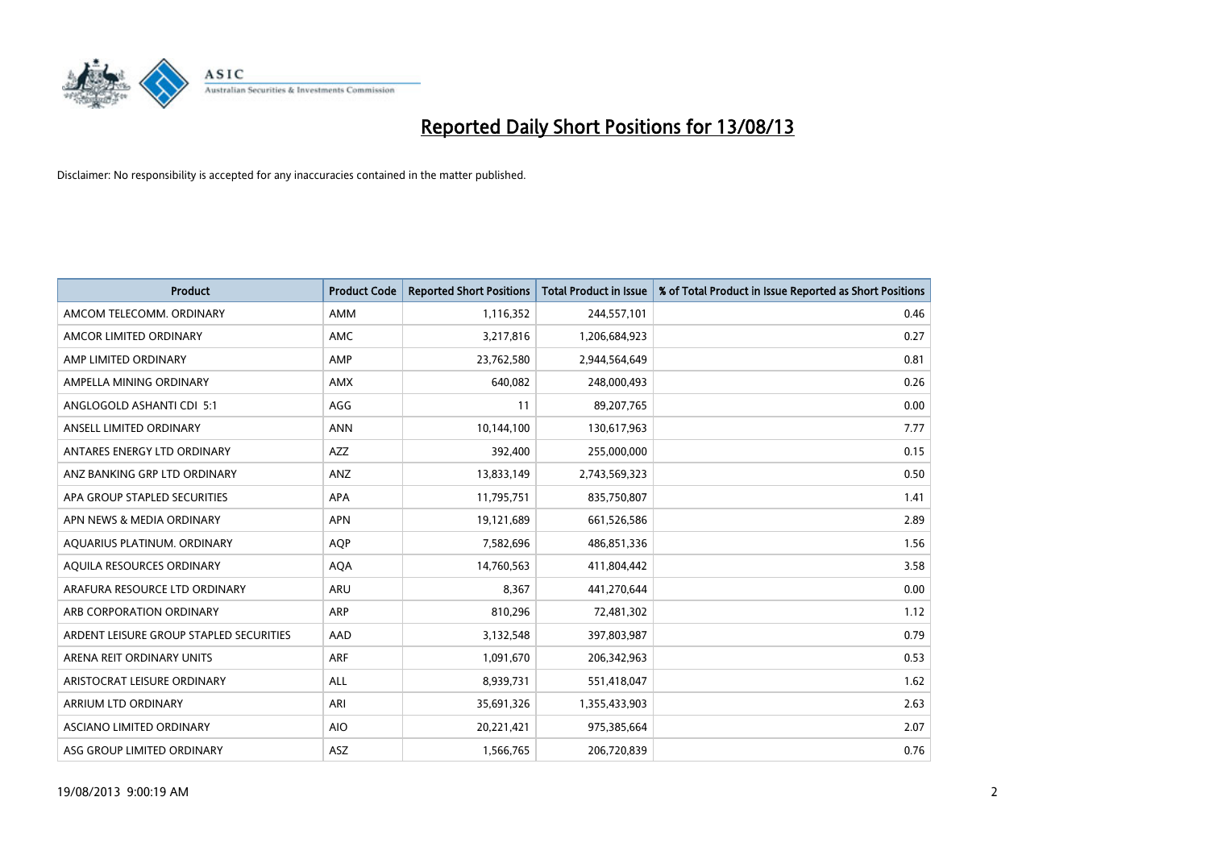

| <b>Product</b>                          | <b>Product Code</b> | <b>Reported Short Positions</b> | <b>Total Product in Issue</b> | % of Total Product in Issue Reported as Short Positions |
|-----------------------------------------|---------------------|---------------------------------|-------------------------------|---------------------------------------------------------|
| AMCOM TELECOMM, ORDINARY                | AMM                 | 1,116,352                       | 244,557,101                   | 0.46                                                    |
| AMCOR LIMITED ORDINARY                  | AMC                 | 3,217,816                       | 1,206,684,923                 | 0.27                                                    |
| AMP LIMITED ORDINARY                    | AMP                 | 23,762,580                      | 2,944,564,649                 | 0.81                                                    |
| AMPELLA MINING ORDINARY                 | <b>AMX</b>          | 640,082                         | 248,000,493                   | 0.26                                                    |
| ANGLOGOLD ASHANTI CDI 5:1               | AGG                 | 11                              | 89,207,765                    | 0.00                                                    |
| ANSELL LIMITED ORDINARY                 | <b>ANN</b>          | 10,144,100                      | 130,617,963                   | 7.77                                                    |
| ANTARES ENERGY LTD ORDINARY             | <b>AZZ</b>          | 392,400                         | 255,000,000                   | 0.15                                                    |
| ANZ BANKING GRP LTD ORDINARY            | ANZ                 | 13,833,149                      | 2,743,569,323                 | 0.50                                                    |
| APA GROUP STAPLED SECURITIES            | APA                 | 11,795,751                      | 835,750,807                   | 1.41                                                    |
| APN NEWS & MEDIA ORDINARY               | <b>APN</b>          | 19,121,689                      | 661,526,586                   | 2.89                                                    |
| AQUARIUS PLATINUM. ORDINARY             | AQP                 | 7,582,696                       | 486,851,336                   | 1.56                                                    |
| AQUILA RESOURCES ORDINARY               | <b>AQA</b>          | 14,760,563                      | 411,804,442                   | 3.58                                                    |
| ARAFURA RESOURCE LTD ORDINARY           | <b>ARU</b>          | 8,367                           | 441,270,644                   | 0.00                                                    |
| ARB CORPORATION ORDINARY                | ARP                 | 810,296                         | 72,481,302                    | 1.12                                                    |
| ARDENT LEISURE GROUP STAPLED SECURITIES | AAD                 | 3,132,548                       | 397,803,987                   | 0.79                                                    |
| ARENA REIT ORDINARY UNITS               | <b>ARF</b>          | 1,091,670                       | 206,342,963                   | 0.53                                                    |
| ARISTOCRAT LEISURE ORDINARY             | ALL                 | 8,939,731                       | 551,418,047                   | 1.62                                                    |
| ARRIUM LTD ORDINARY                     | ARI                 | 35,691,326                      | 1,355,433,903                 | 2.63                                                    |
| ASCIANO LIMITED ORDINARY                | <b>AIO</b>          | 20,221,421                      | 975,385,664                   | 2.07                                                    |
| ASG GROUP LIMITED ORDINARY              | ASZ                 | 1,566,765                       | 206,720,839                   | 0.76                                                    |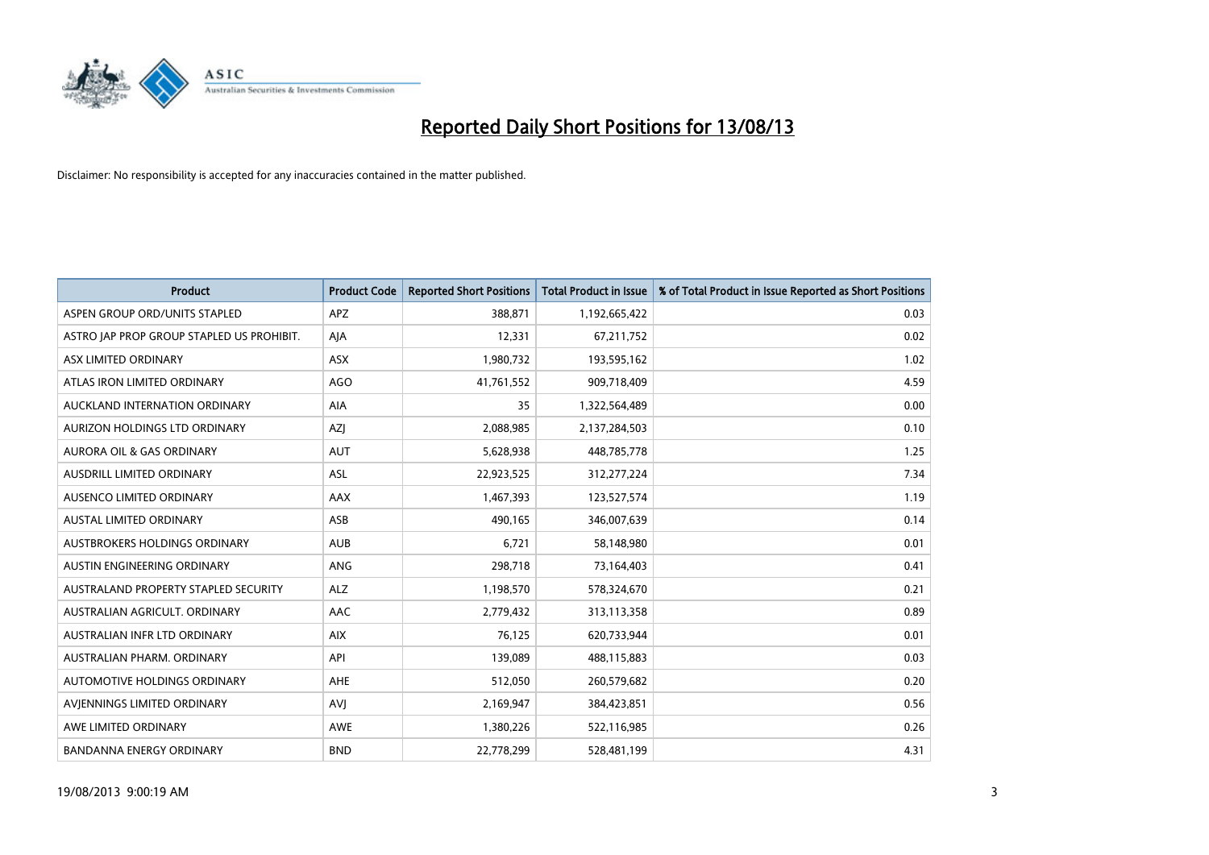

| <b>Product</b>                            | <b>Product Code</b> | <b>Reported Short Positions</b> | <b>Total Product in Issue</b> | % of Total Product in Issue Reported as Short Positions |
|-------------------------------------------|---------------------|---------------------------------|-------------------------------|---------------------------------------------------------|
| ASPEN GROUP ORD/UNITS STAPLED             | <b>APZ</b>          | 388,871                         | 1,192,665,422                 | 0.03                                                    |
| ASTRO JAP PROP GROUP STAPLED US PROHIBIT. | AJA                 | 12,331                          | 67,211,752                    | 0.02                                                    |
| ASX LIMITED ORDINARY                      | ASX                 | 1,980,732                       | 193,595,162                   | 1.02                                                    |
| ATLAS IRON LIMITED ORDINARY               | <b>AGO</b>          | 41,761,552                      | 909,718,409                   | 4.59                                                    |
| AUCKLAND INTERNATION ORDINARY             | AIA                 | 35                              | 1,322,564,489                 | 0.00                                                    |
| AURIZON HOLDINGS LTD ORDINARY             | AZJ                 | 2,088,985                       | 2,137,284,503                 | 0.10                                                    |
| AURORA OIL & GAS ORDINARY                 | <b>AUT</b>          | 5,628,938                       | 448,785,778                   | 1.25                                                    |
| AUSDRILL LIMITED ORDINARY                 | ASL                 | 22,923,525                      | 312,277,224                   | 7.34                                                    |
| AUSENCO LIMITED ORDINARY                  | AAX                 | 1,467,393                       | 123,527,574                   | 1.19                                                    |
| <b>AUSTAL LIMITED ORDINARY</b>            | ASB                 | 490,165                         | 346,007,639                   | 0.14                                                    |
| AUSTBROKERS HOLDINGS ORDINARY             | <b>AUB</b>          | 6,721                           | 58,148,980                    | 0.01                                                    |
| AUSTIN ENGINEERING ORDINARY               | ANG                 | 298,718                         | 73,164,403                    | 0.41                                                    |
| AUSTRALAND PROPERTY STAPLED SECURITY      | <b>ALZ</b>          | 1,198,570                       | 578,324,670                   | 0.21                                                    |
| AUSTRALIAN AGRICULT, ORDINARY             | AAC                 | 2,779,432                       | 313,113,358                   | 0.89                                                    |
| AUSTRALIAN INFR LTD ORDINARY              | <b>AIX</b>          | 76,125                          | 620,733,944                   | 0.01                                                    |
| AUSTRALIAN PHARM. ORDINARY                | API                 | 139,089                         | 488,115,883                   | 0.03                                                    |
| AUTOMOTIVE HOLDINGS ORDINARY              | AHE                 | 512,050                         | 260,579,682                   | 0.20                                                    |
| AVIENNINGS LIMITED ORDINARY               | <b>AVJ</b>          | 2,169,947                       | 384,423,851                   | 0.56                                                    |
| AWE LIMITED ORDINARY                      | <b>AWE</b>          | 1,380,226                       | 522,116,985                   | 0.26                                                    |
| <b>BANDANNA ENERGY ORDINARY</b>           | <b>BND</b>          | 22,778,299                      | 528,481,199                   | 4.31                                                    |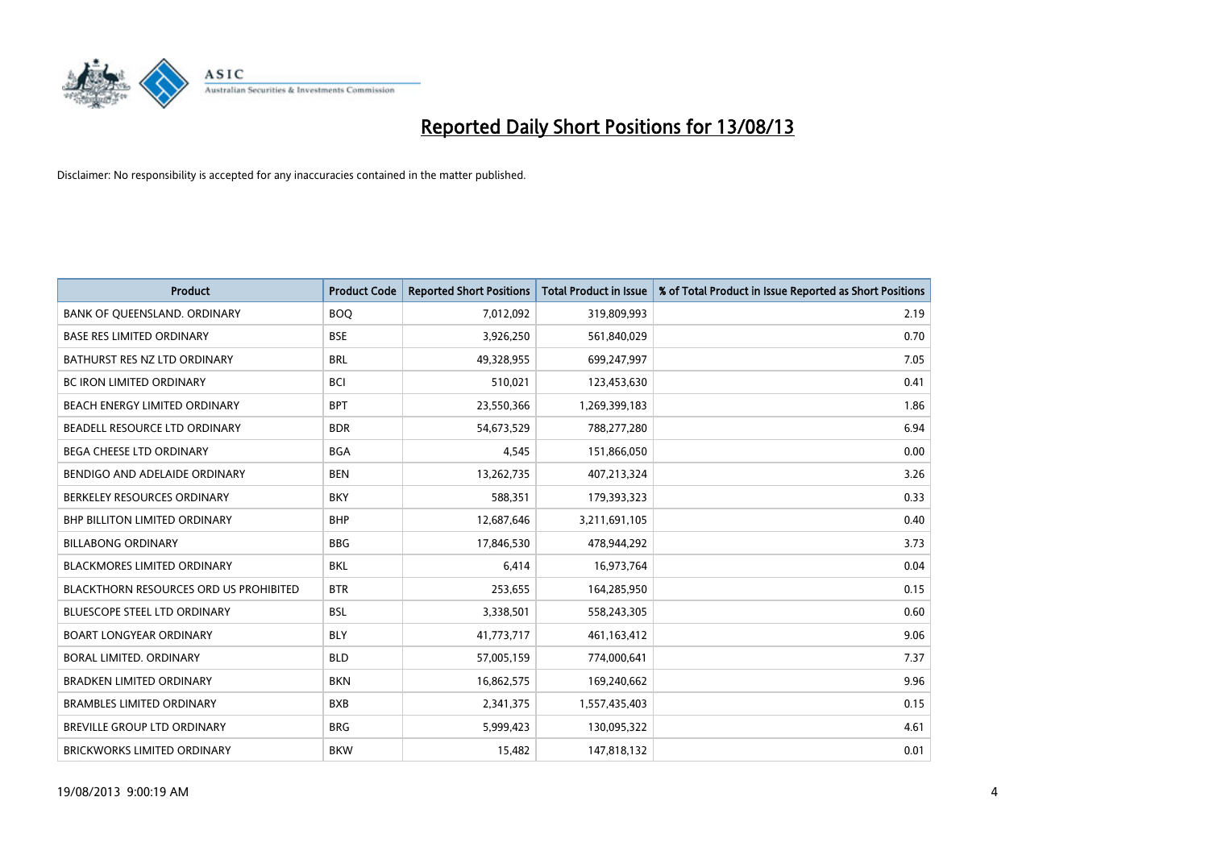

| <b>Product</b>                         | <b>Product Code</b> | <b>Reported Short Positions</b> | <b>Total Product in Issue</b> | % of Total Product in Issue Reported as Short Positions |
|----------------------------------------|---------------------|---------------------------------|-------------------------------|---------------------------------------------------------|
| BANK OF QUEENSLAND. ORDINARY           | <b>BOQ</b>          | 7,012,092                       | 319,809,993                   | 2.19                                                    |
| <b>BASE RES LIMITED ORDINARY</b>       | <b>BSE</b>          | 3,926,250                       | 561,840,029                   | 0.70                                                    |
| BATHURST RES NZ LTD ORDINARY           | <b>BRL</b>          | 49,328,955                      | 699,247,997                   | 7.05                                                    |
| BC IRON LIMITED ORDINARY               | BCI                 | 510,021                         | 123,453,630                   | 0.41                                                    |
| BEACH ENERGY LIMITED ORDINARY          | <b>BPT</b>          | 23,550,366                      | 1,269,399,183                 | 1.86                                                    |
| BEADELL RESOURCE LTD ORDINARY          | <b>BDR</b>          | 54,673,529                      | 788,277,280                   | 6.94                                                    |
| <b>BEGA CHEESE LTD ORDINARY</b>        | <b>BGA</b>          | 4,545                           | 151,866,050                   | 0.00                                                    |
| BENDIGO AND ADELAIDE ORDINARY          | <b>BEN</b>          | 13,262,735                      | 407,213,324                   | 3.26                                                    |
| BERKELEY RESOURCES ORDINARY            | <b>BKY</b>          | 588,351                         | 179,393,323                   | 0.33                                                    |
| <b>BHP BILLITON LIMITED ORDINARY</b>   | <b>BHP</b>          | 12,687,646                      | 3,211,691,105                 | 0.40                                                    |
| <b>BILLABONG ORDINARY</b>              | <b>BBG</b>          | 17,846,530                      | 478,944,292                   | 3.73                                                    |
| <b>BLACKMORES LIMITED ORDINARY</b>     | <b>BKL</b>          | 6,414                           | 16,973,764                    | 0.04                                                    |
| BLACKTHORN RESOURCES ORD US PROHIBITED | <b>BTR</b>          | 253,655                         | 164,285,950                   | 0.15                                                    |
| BLUESCOPE STEEL LTD ORDINARY           | BSL                 | 3,338,501                       | 558,243,305                   | 0.60                                                    |
| <b>BOART LONGYEAR ORDINARY</b>         | <b>BLY</b>          | 41,773,717                      | 461, 163, 412                 | 9.06                                                    |
| BORAL LIMITED, ORDINARY                | <b>BLD</b>          | 57,005,159                      | 774,000,641                   | 7.37                                                    |
| <b>BRADKEN LIMITED ORDINARY</b>        | <b>BKN</b>          | 16,862,575                      | 169,240,662                   | 9.96                                                    |
| <b>BRAMBLES LIMITED ORDINARY</b>       | <b>BXB</b>          | 2,341,375                       | 1,557,435,403                 | 0.15                                                    |
| BREVILLE GROUP LTD ORDINARY            | <b>BRG</b>          | 5,999,423                       | 130,095,322                   | 4.61                                                    |
| <b>BRICKWORKS LIMITED ORDINARY</b>     | <b>BKW</b>          | 15,482                          | 147,818,132                   | 0.01                                                    |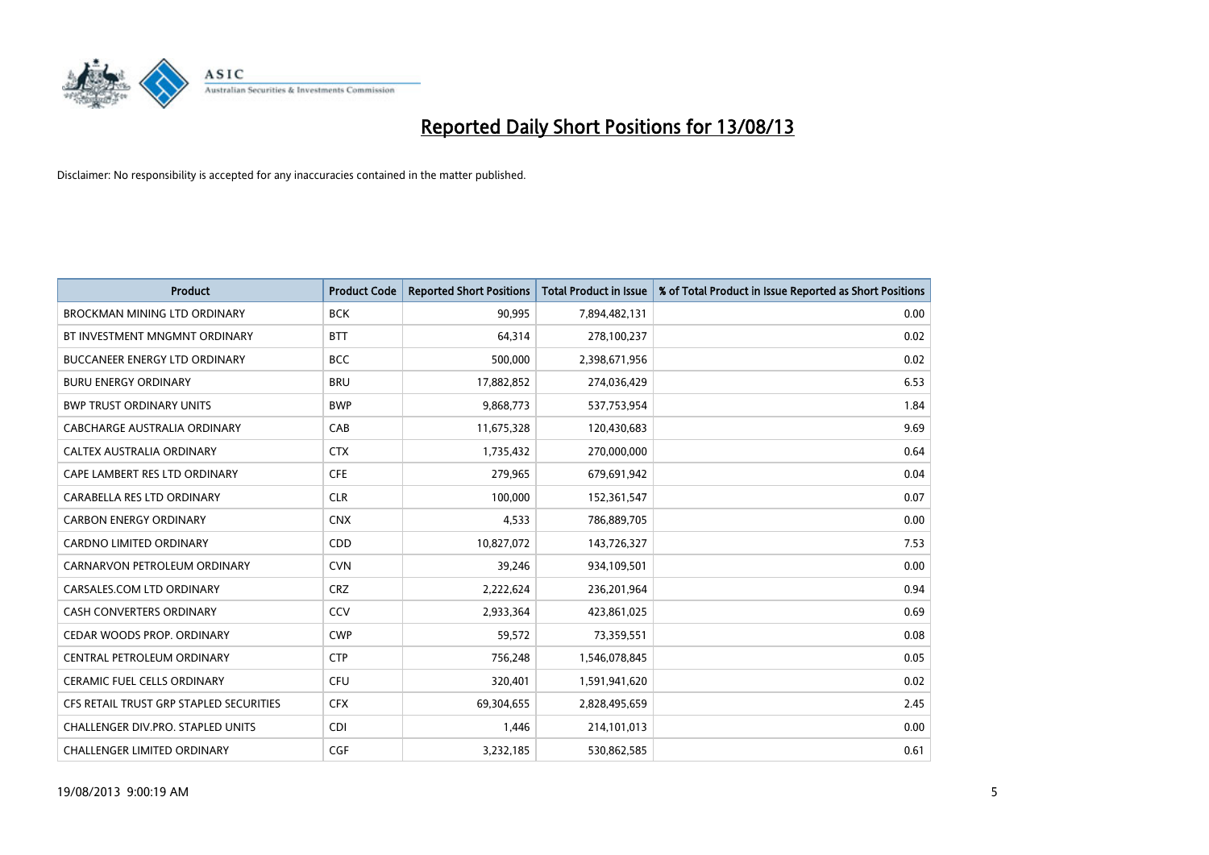

| <b>Product</b>                          | <b>Product Code</b> | <b>Reported Short Positions</b> | <b>Total Product in Issue</b> | % of Total Product in Issue Reported as Short Positions |
|-----------------------------------------|---------------------|---------------------------------|-------------------------------|---------------------------------------------------------|
| <b>BROCKMAN MINING LTD ORDINARY</b>     | <b>BCK</b>          | 90,995                          | 7,894,482,131                 | 0.00                                                    |
| BT INVESTMENT MNGMNT ORDINARY           | <b>BTT</b>          | 64,314                          | 278,100,237                   | 0.02                                                    |
| <b>BUCCANEER ENERGY LTD ORDINARY</b>    | <b>BCC</b>          | 500,000                         | 2,398,671,956                 | 0.02                                                    |
| <b>BURU ENERGY ORDINARY</b>             | <b>BRU</b>          | 17,882,852                      | 274,036,429                   | 6.53                                                    |
| <b>BWP TRUST ORDINARY UNITS</b>         | <b>BWP</b>          | 9,868,773                       | 537,753,954                   | 1.84                                                    |
| <b>CABCHARGE AUSTRALIA ORDINARY</b>     | CAB                 | 11,675,328                      | 120,430,683                   | 9.69                                                    |
| CALTEX AUSTRALIA ORDINARY               | <b>CTX</b>          | 1,735,432                       | 270,000,000                   | 0.64                                                    |
| CAPE LAMBERT RES LTD ORDINARY           | <b>CFE</b>          | 279,965                         | 679,691,942                   | 0.04                                                    |
| CARABELLA RES LTD ORDINARY              | <b>CLR</b>          | 100,000                         | 152,361,547                   | 0.07                                                    |
| <b>CARBON ENERGY ORDINARY</b>           | <b>CNX</b>          | 4,533                           | 786,889,705                   | 0.00                                                    |
| CARDNO LIMITED ORDINARY                 | CDD                 | 10,827,072                      | 143,726,327                   | 7.53                                                    |
| CARNARVON PETROLEUM ORDINARY            | <b>CVN</b>          | 39,246                          | 934,109,501                   | 0.00                                                    |
| CARSALES.COM LTD ORDINARY               | <b>CRZ</b>          | 2,222,624                       | 236,201,964                   | 0.94                                                    |
| <b>CASH CONVERTERS ORDINARY</b>         | CCV                 | 2,933,364                       | 423,861,025                   | 0.69                                                    |
| CEDAR WOODS PROP. ORDINARY              | <b>CWP</b>          | 59,572                          | 73,359,551                    | 0.08                                                    |
| CENTRAL PETROLEUM ORDINARY              | <b>CTP</b>          | 756,248                         | 1,546,078,845                 | 0.05                                                    |
| CERAMIC FUEL CELLS ORDINARY             | <b>CFU</b>          | 320,401                         | 1,591,941,620                 | 0.02                                                    |
| CFS RETAIL TRUST GRP STAPLED SECURITIES | <b>CFX</b>          | 69,304,655                      | 2,828,495,659                 | 2.45                                                    |
| CHALLENGER DIV.PRO. STAPLED UNITS       | <b>CDI</b>          | 1,446                           | 214,101,013                   | 0.00                                                    |
| CHALLENGER LIMITED ORDINARY             | <b>CGF</b>          | 3,232,185                       | 530,862,585                   | 0.61                                                    |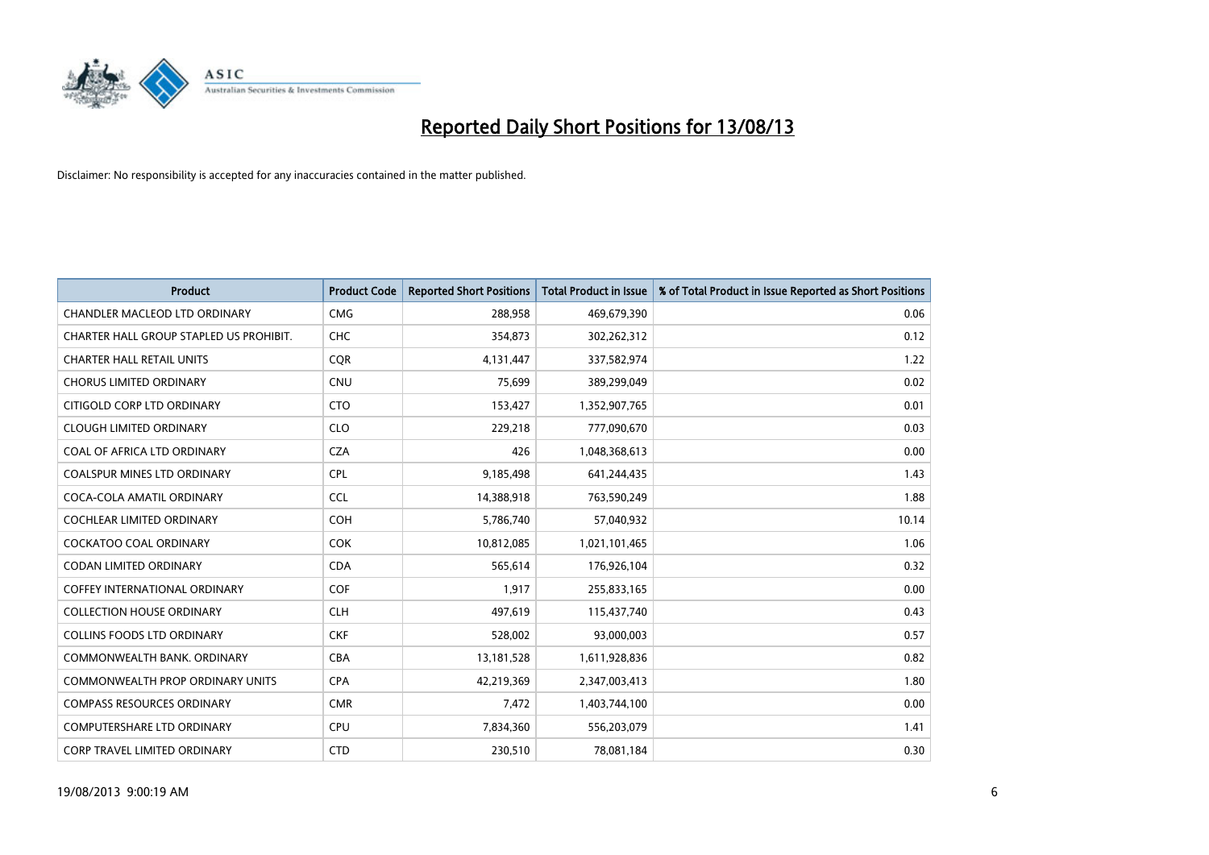

| <b>Product</b>                          | <b>Product Code</b> | <b>Reported Short Positions</b> | <b>Total Product in Issue</b> | % of Total Product in Issue Reported as Short Positions |
|-----------------------------------------|---------------------|---------------------------------|-------------------------------|---------------------------------------------------------|
| <b>CHANDLER MACLEOD LTD ORDINARY</b>    | <b>CMG</b>          | 288,958                         | 469,679,390                   | 0.06                                                    |
| CHARTER HALL GROUP STAPLED US PROHIBIT. | <b>CHC</b>          | 354,873                         | 302,262,312                   | 0.12                                                    |
| <b>CHARTER HALL RETAIL UNITS</b>        | <b>COR</b>          | 4,131,447                       | 337,582,974                   | 1.22                                                    |
| <b>CHORUS LIMITED ORDINARY</b>          | <b>CNU</b>          | 75,699                          | 389,299,049                   | 0.02                                                    |
| CITIGOLD CORP LTD ORDINARY              | <b>CTO</b>          | 153,427                         | 1,352,907,765                 | 0.01                                                    |
| <b>CLOUGH LIMITED ORDINARY</b>          | <b>CLO</b>          | 229,218                         | 777,090,670                   | 0.03                                                    |
| COAL OF AFRICA LTD ORDINARY             | <b>CZA</b>          | 426                             | 1,048,368,613                 | 0.00                                                    |
| <b>COALSPUR MINES LTD ORDINARY</b>      | <b>CPL</b>          | 9,185,498                       | 641,244,435                   | 1.43                                                    |
| COCA-COLA AMATIL ORDINARY               | <b>CCL</b>          | 14,388,918                      | 763,590,249                   | 1.88                                                    |
| <b>COCHLEAR LIMITED ORDINARY</b>        | COH                 | 5,786,740                       | 57,040,932                    | 10.14                                                   |
| <b>COCKATOO COAL ORDINARY</b>           | <b>COK</b>          | 10,812,085                      | 1,021,101,465                 | 1.06                                                    |
| <b>CODAN LIMITED ORDINARY</b>           | <b>CDA</b>          | 565,614                         | 176,926,104                   | 0.32                                                    |
| <b>COFFEY INTERNATIONAL ORDINARY</b>    | <b>COF</b>          | 1,917                           | 255,833,165                   | 0.00                                                    |
| <b>COLLECTION HOUSE ORDINARY</b>        | <b>CLH</b>          | 497,619                         | 115,437,740                   | 0.43                                                    |
| <b>COLLINS FOODS LTD ORDINARY</b>       | <b>CKF</b>          | 528,002                         | 93,000,003                    | 0.57                                                    |
| COMMONWEALTH BANK, ORDINARY             | <b>CBA</b>          | 13,181,528                      | 1,611,928,836                 | 0.82                                                    |
| <b>COMMONWEALTH PROP ORDINARY UNITS</b> | <b>CPA</b>          | 42,219,369                      | 2,347,003,413                 | 1.80                                                    |
| <b>COMPASS RESOURCES ORDINARY</b>       | <b>CMR</b>          | 7,472                           | 1,403,744,100                 | 0.00                                                    |
| <b>COMPUTERSHARE LTD ORDINARY</b>       | <b>CPU</b>          | 7,834,360                       | 556,203,079                   | 1.41                                                    |
| <b>CORP TRAVEL LIMITED ORDINARY</b>     | <b>CTD</b>          | 230,510                         | 78,081,184                    | 0.30                                                    |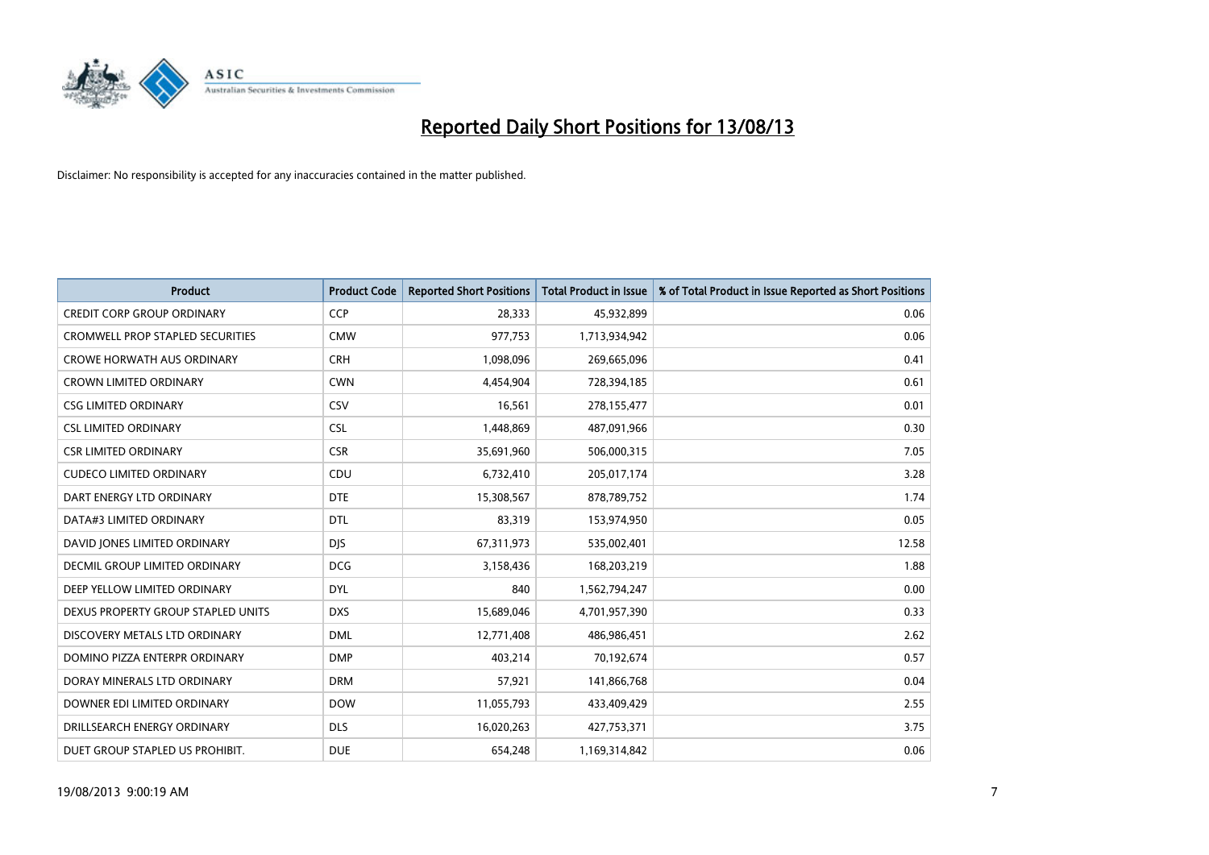

| <b>Product</b>                       | <b>Product Code</b> | <b>Reported Short Positions</b> | <b>Total Product in Issue</b> | % of Total Product in Issue Reported as Short Positions |
|--------------------------------------|---------------------|---------------------------------|-------------------------------|---------------------------------------------------------|
| <b>CREDIT CORP GROUP ORDINARY</b>    | CCP                 | 28,333                          | 45,932,899                    | 0.06                                                    |
| CROMWELL PROP STAPLED SECURITIES     | <b>CMW</b>          | 977,753                         | 1,713,934,942                 | 0.06                                                    |
| <b>CROWE HORWATH AUS ORDINARY</b>    | <b>CRH</b>          | 1,098,096                       | 269,665,096                   | 0.41                                                    |
| CROWN LIMITED ORDINARY               | <b>CWN</b>          | 4,454,904                       | 728,394,185                   | 0.61                                                    |
| <b>CSG LIMITED ORDINARY</b>          | CSV                 | 16,561                          | 278,155,477                   | 0.01                                                    |
| <b>CSL LIMITED ORDINARY</b>          | <b>CSL</b>          | 1,448,869                       | 487,091,966                   | 0.30                                                    |
| <b>CSR LIMITED ORDINARY</b>          | <b>CSR</b>          | 35,691,960                      | 506,000,315                   | 7.05                                                    |
| <b>CUDECO LIMITED ORDINARY</b>       | CDU                 | 6,732,410                       | 205,017,174                   | 3.28                                                    |
| DART ENERGY LTD ORDINARY             | <b>DTE</b>          | 15,308,567                      | 878,789,752                   | 1.74                                                    |
| DATA#3 LIMITED ORDINARY              | <b>DTL</b>          | 83,319                          | 153,974,950                   | 0.05                                                    |
| DAVID JONES LIMITED ORDINARY         | <b>DJS</b>          | 67,311,973                      | 535,002,401                   | 12.58                                                   |
| <b>DECMIL GROUP LIMITED ORDINARY</b> | <b>DCG</b>          | 3,158,436                       | 168,203,219                   | 1.88                                                    |
| DEEP YELLOW LIMITED ORDINARY         | <b>DYL</b>          | 840                             | 1,562,794,247                 | 0.00                                                    |
| DEXUS PROPERTY GROUP STAPLED UNITS   | <b>DXS</b>          | 15,689,046                      | 4,701,957,390                 | 0.33                                                    |
| DISCOVERY METALS LTD ORDINARY        | <b>DML</b>          | 12,771,408                      | 486,986,451                   | 2.62                                                    |
| DOMINO PIZZA ENTERPR ORDINARY        | <b>DMP</b>          | 403,214                         | 70,192,674                    | 0.57                                                    |
| DORAY MINERALS LTD ORDINARY          | <b>DRM</b>          | 57,921                          | 141,866,768                   | 0.04                                                    |
| DOWNER EDI LIMITED ORDINARY          | <b>DOW</b>          | 11,055,793                      | 433,409,429                   | 2.55                                                    |
| DRILLSEARCH ENERGY ORDINARY          | <b>DLS</b>          | 16,020,263                      | 427,753,371                   | 3.75                                                    |
| DUET GROUP STAPLED US PROHIBIT.      | <b>DUE</b>          | 654,248                         | 1,169,314,842                 | 0.06                                                    |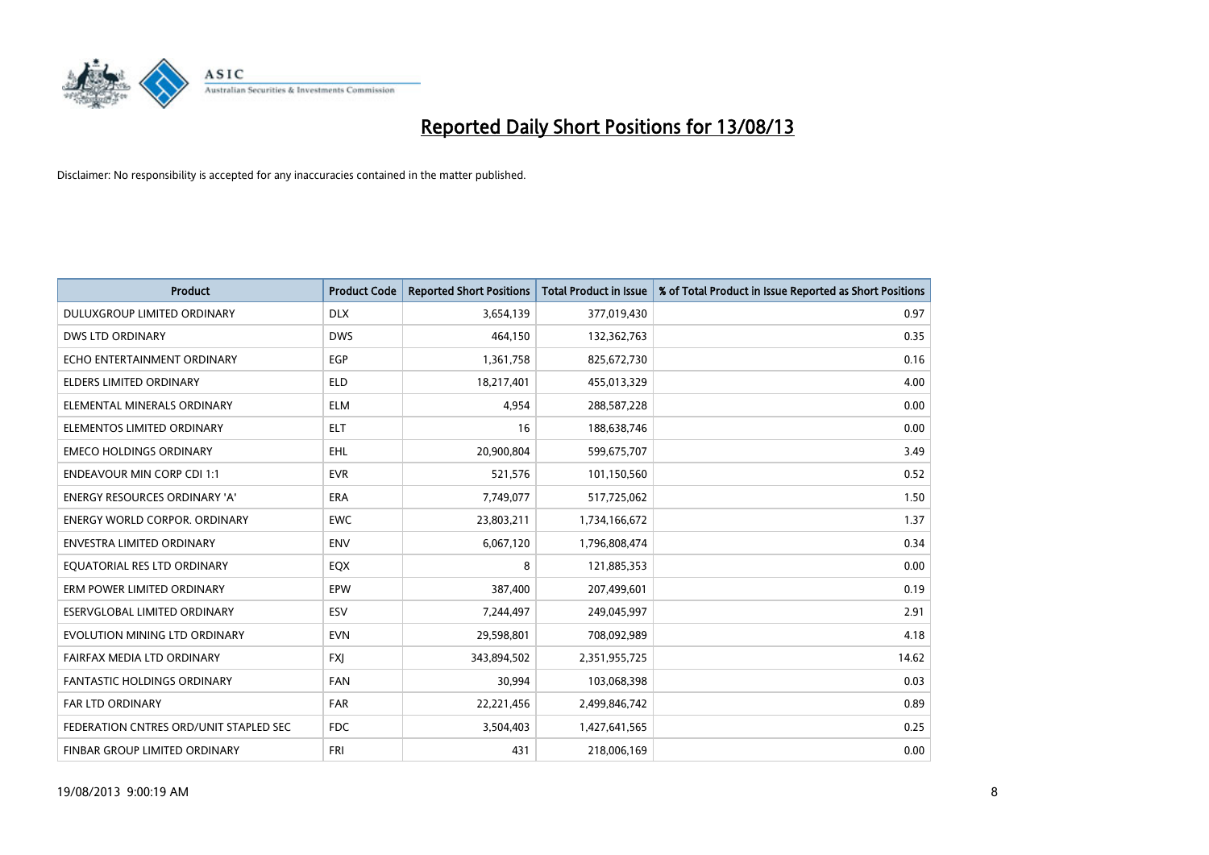

| <b>Product</b>                         | <b>Product Code</b> | <b>Reported Short Positions</b> | <b>Total Product in Issue</b> | % of Total Product in Issue Reported as Short Positions |
|----------------------------------------|---------------------|---------------------------------|-------------------------------|---------------------------------------------------------|
| DULUXGROUP LIMITED ORDINARY            | <b>DLX</b>          | 3,654,139                       | 377,019,430                   | 0.97                                                    |
| <b>DWS LTD ORDINARY</b>                | <b>DWS</b>          | 464,150                         | 132,362,763                   | 0.35                                                    |
| ECHO ENTERTAINMENT ORDINARY            | <b>EGP</b>          | 1,361,758                       | 825,672,730                   | 0.16                                                    |
| ELDERS LIMITED ORDINARY                | <b>ELD</b>          | 18,217,401                      | 455,013,329                   | 4.00                                                    |
| ELEMENTAL MINERALS ORDINARY            | <b>ELM</b>          | 4,954                           | 288,587,228                   | 0.00                                                    |
| ELEMENTOS LIMITED ORDINARY             | <b>ELT</b>          | 16                              | 188,638,746                   | 0.00                                                    |
| <b>EMECO HOLDINGS ORDINARY</b>         | <b>EHL</b>          | 20,900,804                      | 599,675,707                   | 3.49                                                    |
| <b>ENDEAVOUR MIN CORP CDI 1:1</b>      | <b>EVR</b>          | 521,576                         | 101,150,560                   | 0.52                                                    |
| <b>ENERGY RESOURCES ORDINARY 'A'</b>   | <b>ERA</b>          | 7,749,077                       | 517,725,062                   | 1.50                                                    |
| <b>ENERGY WORLD CORPOR, ORDINARY</b>   | <b>EWC</b>          | 23,803,211                      | 1,734,166,672                 | 1.37                                                    |
| ENVESTRA LIMITED ORDINARY              | <b>ENV</b>          | 6,067,120                       | 1,796,808,474                 | 0.34                                                    |
| EQUATORIAL RES LTD ORDINARY            | EQX                 | 8                               | 121,885,353                   | 0.00                                                    |
| ERM POWER LIMITED ORDINARY             | <b>EPW</b>          | 387,400                         | 207,499,601                   | 0.19                                                    |
| ESERVGLOBAL LIMITED ORDINARY           | ESV                 | 7,244,497                       | 249,045,997                   | 2.91                                                    |
| EVOLUTION MINING LTD ORDINARY          | <b>EVN</b>          | 29,598,801                      | 708,092,989                   | 4.18                                                    |
| FAIRFAX MEDIA LTD ORDINARY             | <b>FXI</b>          | 343,894,502                     | 2,351,955,725                 | 14.62                                                   |
| <b>FANTASTIC HOLDINGS ORDINARY</b>     | <b>FAN</b>          | 30,994                          | 103,068,398                   | 0.03                                                    |
| <b>FAR LTD ORDINARY</b>                | <b>FAR</b>          | 22,221,456                      | 2,499,846,742                 | 0.89                                                    |
| FEDERATION CNTRES ORD/UNIT STAPLED SEC | <b>FDC</b>          | 3,504,403                       | 1,427,641,565                 | 0.25                                                    |
| FINBAR GROUP LIMITED ORDINARY          | <b>FRI</b>          | 431                             | 218,006,169                   | 0.00                                                    |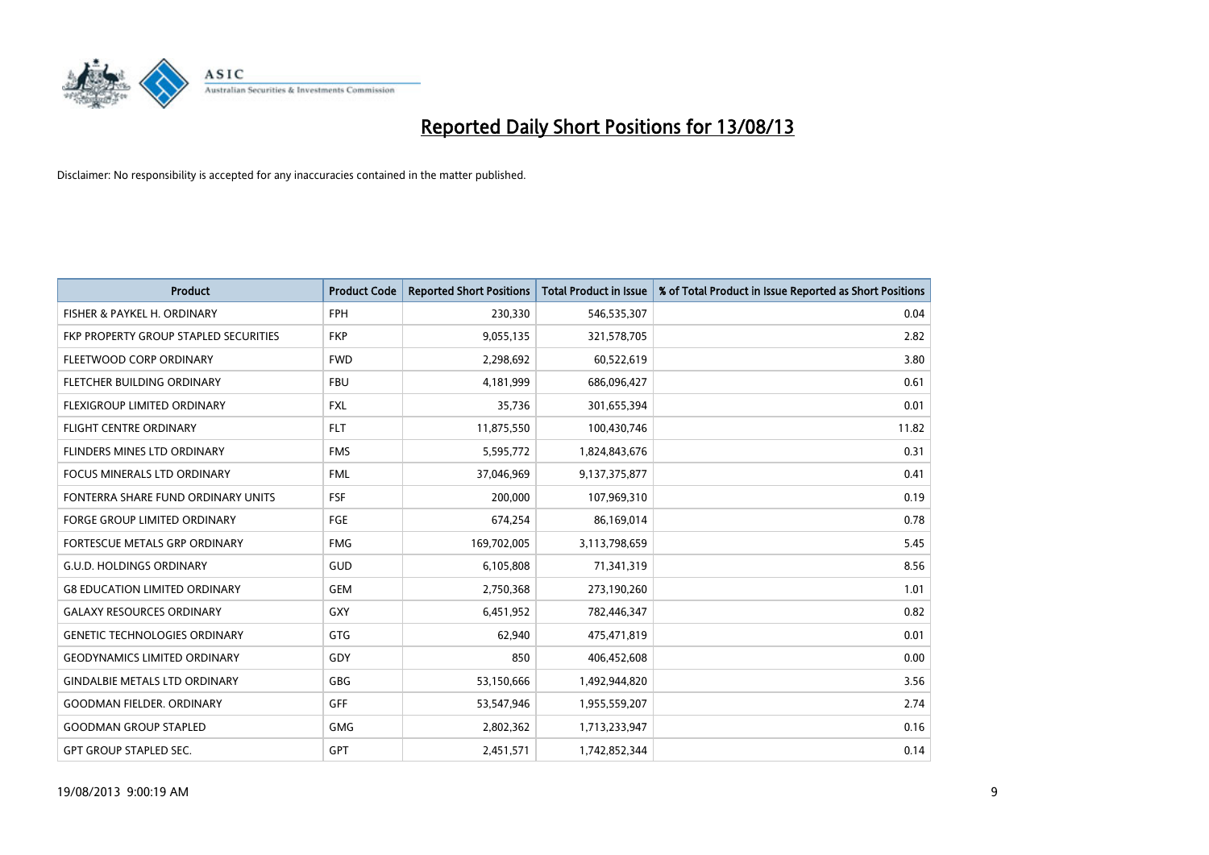

| <b>Product</b>                        | <b>Product Code</b> | <b>Reported Short Positions</b> | <b>Total Product in Issue</b> | % of Total Product in Issue Reported as Short Positions |
|---------------------------------------|---------------------|---------------------------------|-------------------------------|---------------------------------------------------------|
| FISHER & PAYKEL H. ORDINARY           | <b>FPH</b>          | 230,330                         | 546,535,307                   | 0.04                                                    |
| FKP PROPERTY GROUP STAPLED SECURITIES | <b>FKP</b>          | 9,055,135                       | 321,578,705                   | 2.82                                                    |
| FLEETWOOD CORP ORDINARY               | <b>FWD</b>          | 2,298,692                       | 60,522,619                    | 3.80                                                    |
| FLETCHER BUILDING ORDINARY            | <b>FBU</b>          | 4,181,999                       | 686,096,427                   | 0.61                                                    |
| FLEXIGROUP LIMITED ORDINARY           | <b>FXL</b>          | 35,736                          | 301,655,394                   | 0.01                                                    |
| <b>FLIGHT CENTRE ORDINARY</b>         | <b>FLT</b>          | 11,875,550                      | 100,430,746                   | 11.82                                                   |
| <b>FLINDERS MINES LTD ORDINARY</b>    | <b>FMS</b>          | 5,595,772                       | 1,824,843,676                 | 0.31                                                    |
| <b>FOCUS MINERALS LTD ORDINARY</b>    | <b>FML</b>          | 37,046,969                      | 9,137,375,877                 | 0.41                                                    |
| FONTERRA SHARE FUND ORDINARY UNITS    | <b>FSF</b>          | 200,000                         | 107,969,310                   | 0.19                                                    |
| <b>FORGE GROUP LIMITED ORDINARY</b>   | FGE                 | 674,254                         | 86,169,014                    | 0.78                                                    |
| FORTESCUE METALS GRP ORDINARY         | <b>FMG</b>          | 169,702,005                     | 3,113,798,659                 | 5.45                                                    |
| <b>G.U.D. HOLDINGS ORDINARY</b>       | GUD                 | 6,105,808                       | 71,341,319                    | 8.56                                                    |
| <b>G8 EDUCATION LIMITED ORDINARY</b>  | <b>GEM</b>          | 2,750,368                       | 273,190,260                   | 1.01                                                    |
| <b>GALAXY RESOURCES ORDINARY</b>      | GXY                 | 6,451,952                       | 782,446,347                   | 0.82                                                    |
| <b>GENETIC TECHNOLOGIES ORDINARY</b>  | <b>GTG</b>          | 62,940                          | 475,471,819                   | 0.01                                                    |
| <b>GEODYNAMICS LIMITED ORDINARY</b>   | GDY                 | 850                             | 406,452,608                   | 0.00                                                    |
| <b>GINDALBIE METALS LTD ORDINARY</b>  | GBG                 | 53,150,666                      | 1,492,944,820                 | 3.56                                                    |
| <b>GOODMAN FIELDER. ORDINARY</b>      | GFF                 | 53,547,946                      | 1,955,559,207                 | 2.74                                                    |
| <b>GOODMAN GROUP STAPLED</b>          | <b>GMG</b>          | 2,802,362                       | 1,713,233,947                 | 0.16                                                    |
| <b>GPT GROUP STAPLED SEC.</b>         | GPT                 | 2,451,571                       | 1,742,852,344                 | 0.14                                                    |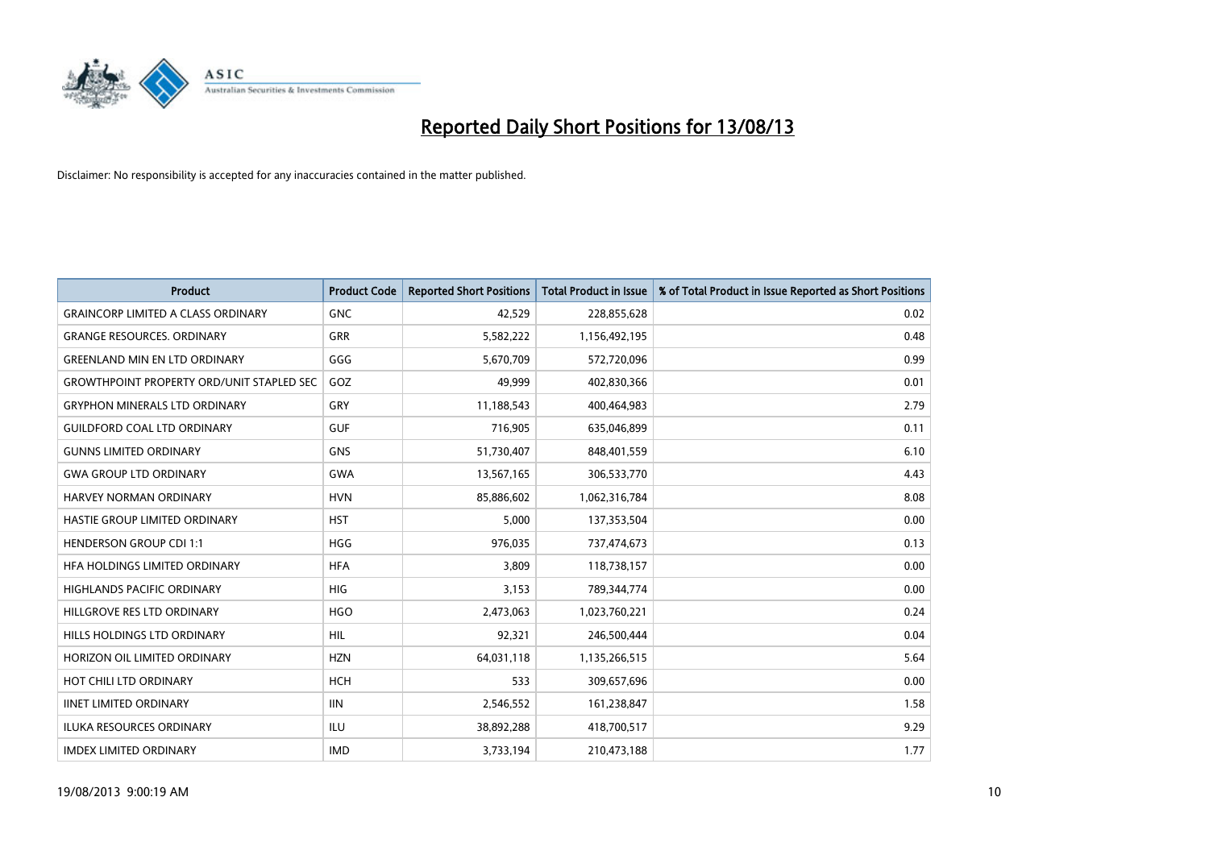

| <b>Product</b>                                   | <b>Product Code</b> | <b>Reported Short Positions</b> | <b>Total Product in Issue</b> | % of Total Product in Issue Reported as Short Positions |
|--------------------------------------------------|---------------------|---------------------------------|-------------------------------|---------------------------------------------------------|
| <b>GRAINCORP LIMITED A CLASS ORDINARY</b>        | <b>GNC</b>          | 42,529                          | 228,855,628                   | 0.02                                                    |
| <b>GRANGE RESOURCES. ORDINARY</b>                | GRR                 | 5,582,222                       | 1,156,492,195                 | 0.48                                                    |
| <b>GREENLAND MIN EN LTD ORDINARY</b>             | GGG                 | 5,670,709                       | 572,720,096                   | 0.99                                                    |
| <b>GROWTHPOINT PROPERTY ORD/UNIT STAPLED SEC</b> | GOZ                 | 49,999                          | 402,830,366                   | 0.01                                                    |
| <b>GRYPHON MINERALS LTD ORDINARY</b>             | GRY                 | 11,188,543                      | 400,464,983                   | 2.79                                                    |
| <b>GUILDFORD COAL LTD ORDINARY</b>               | <b>GUF</b>          | 716,905                         | 635,046,899                   | 0.11                                                    |
| <b>GUNNS LIMITED ORDINARY</b>                    | <b>GNS</b>          | 51,730,407                      | 848,401,559                   | 6.10                                                    |
| <b>GWA GROUP LTD ORDINARY</b>                    | <b>GWA</b>          | 13,567,165                      | 306,533,770                   | 4.43                                                    |
| <b>HARVEY NORMAN ORDINARY</b>                    | <b>HVN</b>          | 85,886,602                      | 1,062,316,784                 | 8.08                                                    |
| HASTIE GROUP LIMITED ORDINARY                    | <b>HST</b>          | 5,000                           | 137,353,504                   | 0.00                                                    |
| <b>HENDERSON GROUP CDI 1:1</b>                   | <b>HGG</b>          | 976,035                         | 737,474,673                   | 0.13                                                    |
| HFA HOLDINGS LIMITED ORDINARY                    | <b>HFA</b>          | 3,809                           | 118,738,157                   | 0.00                                                    |
| HIGHLANDS PACIFIC ORDINARY                       | <b>HIG</b>          | 3,153                           | 789,344,774                   | 0.00                                                    |
| HILLGROVE RES LTD ORDINARY                       | <b>HGO</b>          | 2,473,063                       | 1,023,760,221                 | 0.24                                                    |
| HILLS HOLDINGS LTD ORDINARY                      | <b>HIL</b>          | 92,321                          | 246,500,444                   | 0.04                                                    |
| HORIZON OIL LIMITED ORDINARY                     | <b>HZN</b>          | 64,031,118                      | 1,135,266,515                 | 5.64                                                    |
| HOT CHILI LTD ORDINARY                           | <b>HCH</b>          | 533                             | 309,657,696                   | 0.00                                                    |
| <b>IINET LIMITED ORDINARY</b>                    | <b>IIN</b>          | 2,546,552                       | 161,238,847                   | 1.58                                                    |
| <b>ILUKA RESOURCES ORDINARY</b>                  | ILU                 | 38,892,288                      | 418,700,517                   | 9.29                                                    |
| <b>IMDEX LIMITED ORDINARY</b>                    | <b>IMD</b>          | 3,733,194                       | 210,473,188                   | 1.77                                                    |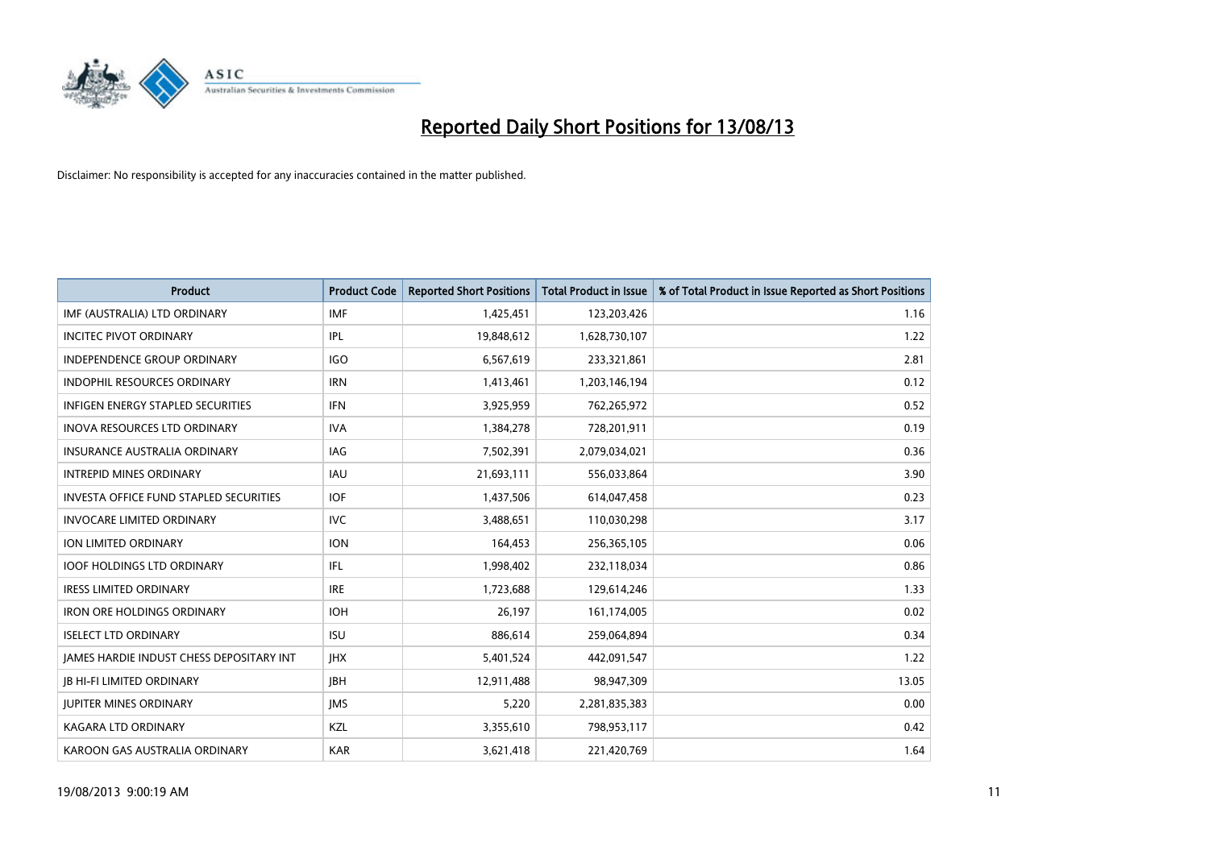

| <b>Product</b>                                | <b>Product Code</b> | <b>Reported Short Positions</b> | <b>Total Product in Issue</b> | % of Total Product in Issue Reported as Short Positions |
|-----------------------------------------------|---------------------|---------------------------------|-------------------------------|---------------------------------------------------------|
| IMF (AUSTRALIA) LTD ORDINARY                  | <b>IMF</b>          | 1,425,451                       | 123,203,426                   | 1.16                                                    |
| INCITEC PIVOT ORDINARY                        | IPL                 | 19,848,612                      | 1,628,730,107                 | 1.22                                                    |
| <b>INDEPENDENCE GROUP ORDINARY</b>            | <b>IGO</b>          | 6,567,619                       | 233,321,861                   | 2.81                                                    |
| INDOPHIL RESOURCES ORDINARY                   | <b>IRN</b>          | 1,413,461                       | 1,203,146,194                 | 0.12                                                    |
| <b>INFIGEN ENERGY STAPLED SECURITIES</b>      | <b>IFN</b>          | 3,925,959                       | 762,265,972                   | 0.52                                                    |
| <b>INOVA RESOURCES LTD ORDINARY</b>           | <b>IVA</b>          | 1,384,278                       | 728,201,911                   | 0.19                                                    |
| <b>INSURANCE AUSTRALIA ORDINARY</b>           | IAG                 | 7,502,391                       | 2,079,034,021                 | 0.36                                                    |
| <b>INTREPID MINES ORDINARY</b>                | <b>IAU</b>          | 21,693,111                      | 556,033,864                   | 3.90                                                    |
| <b>INVESTA OFFICE FUND STAPLED SECURITIES</b> | <b>IOF</b>          | 1,437,506                       | 614,047,458                   | 0.23                                                    |
| <b>INVOCARE LIMITED ORDINARY</b>              | <b>IVC</b>          | 3,488,651                       | 110,030,298                   | 3.17                                                    |
| ION LIMITED ORDINARY                          | <b>ION</b>          | 164,453                         | 256,365,105                   | 0.06                                                    |
| <b>IOOF HOLDINGS LTD ORDINARY</b>             | IFL                 | 1,998,402                       | 232,118,034                   | 0.86                                                    |
| <b>IRESS LIMITED ORDINARY</b>                 | <b>IRE</b>          | 1,723,688                       | 129,614,246                   | 1.33                                                    |
| <b>IRON ORE HOLDINGS ORDINARY</b>             | <b>IOH</b>          | 26,197                          | 161,174,005                   | 0.02                                                    |
| <b>ISELECT LTD ORDINARY</b>                   | <b>ISU</b>          | 886,614                         | 259,064,894                   | 0.34                                                    |
| JAMES HARDIE INDUST CHESS DEPOSITARY INT      | <b>IHX</b>          | 5,401,524                       | 442,091,547                   | 1.22                                                    |
| <b>JB HI-FI LIMITED ORDINARY</b>              | <b>JBH</b>          | 12,911,488                      | 98,947,309                    | 13.05                                                   |
| <b>JUPITER MINES ORDINARY</b>                 | <b>IMS</b>          | 5,220                           | 2,281,835,383                 | 0.00                                                    |
| <b>KAGARA LTD ORDINARY</b>                    | KZL                 | 3,355,610                       | 798,953,117                   | 0.42                                                    |
| KAROON GAS AUSTRALIA ORDINARY                 | <b>KAR</b>          | 3,621,418                       | 221,420,769                   | 1.64                                                    |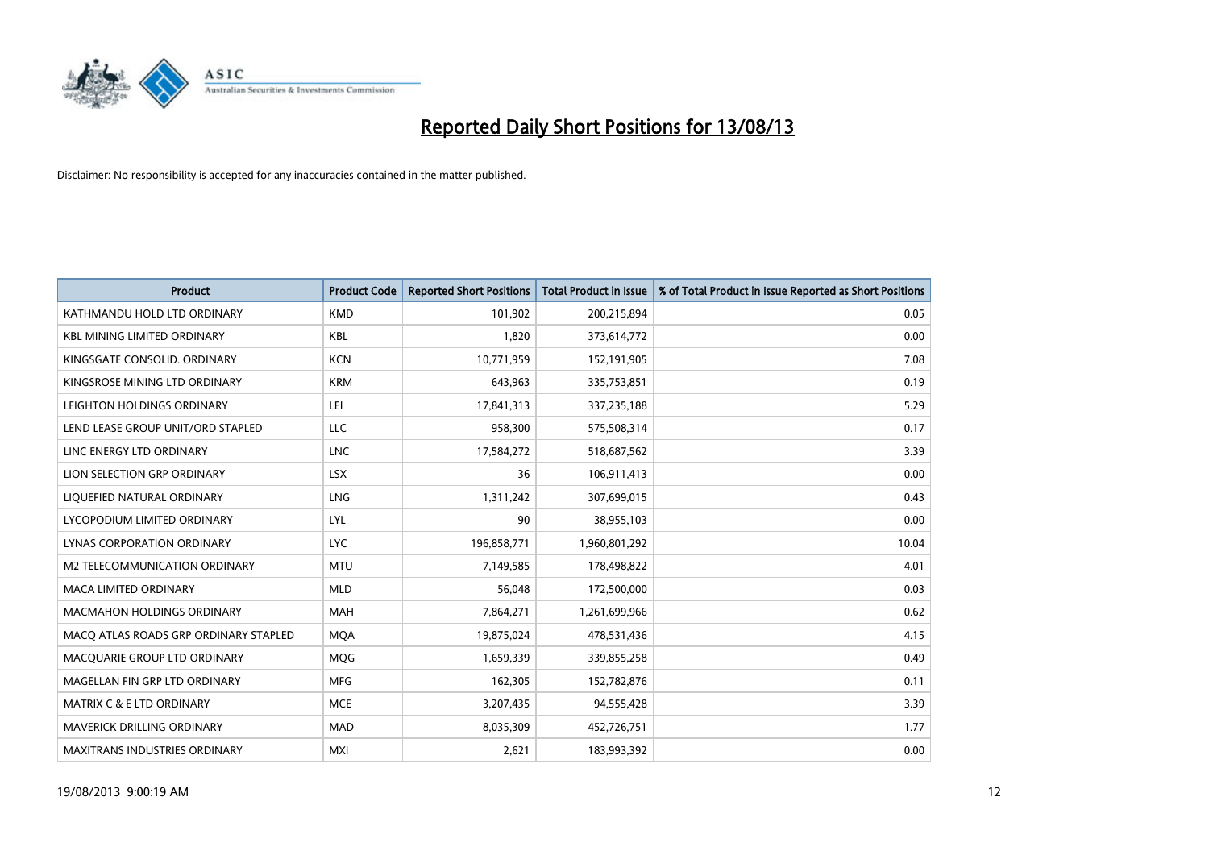

| <b>Product</b>                        | <b>Product Code</b> | <b>Reported Short Positions</b> | <b>Total Product in Issue</b> | % of Total Product in Issue Reported as Short Positions |
|---------------------------------------|---------------------|---------------------------------|-------------------------------|---------------------------------------------------------|
| KATHMANDU HOLD LTD ORDINARY           | <b>KMD</b>          | 101,902                         | 200,215,894                   | 0.05                                                    |
| <b>KBL MINING LIMITED ORDINARY</b>    | <b>KBL</b>          | 1,820                           | 373,614,772                   | 0.00                                                    |
| KINGSGATE CONSOLID. ORDINARY          | <b>KCN</b>          | 10,771,959                      | 152,191,905                   | 7.08                                                    |
| KINGSROSE MINING LTD ORDINARY         | <b>KRM</b>          | 643,963                         | 335,753,851                   | 0.19                                                    |
| LEIGHTON HOLDINGS ORDINARY            | LEI                 | 17,841,313                      | 337,235,188                   | 5.29                                                    |
| LEND LEASE GROUP UNIT/ORD STAPLED     | <b>LLC</b>          | 958,300                         | 575,508,314                   | 0.17                                                    |
| LINC ENERGY LTD ORDINARY              | <b>LNC</b>          | 17,584,272                      | 518,687,562                   | 3.39                                                    |
| LION SELECTION GRP ORDINARY           | <b>LSX</b>          | 36                              | 106,911,413                   | 0.00                                                    |
| LIQUEFIED NATURAL ORDINARY            | LNG                 | 1,311,242                       | 307,699,015                   | 0.43                                                    |
| LYCOPODIUM LIMITED ORDINARY           | <b>LYL</b>          | 90                              | 38,955,103                    | 0.00                                                    |
| LYNAS CORPORATION ORDINARY            | <b>LYC</b>          | 196,858,771                     | 1,960,801,292                 | 10.04                                                   |
| M2 TELECOMMUNICATION ORDINARY         | <b>MTU</b>          | 7,149,585                       | 178,498,822                   | 4.01                                                    |
| MACA LIMITED ORDINARY                 | <b>MLD</b>          | 56,048                          | 172,500,000                   | 0.03                                                    |
| <b>MACMAHON HOLDINGS ORDINARY</b>     | MAH                 | 7,864,271                       | 1,261,699,966                 | 0.62                                                    |
| MACO ATLAS ROADS GRP ORDINARY STAPLED | <b>MQA</b>          | 19,875,024                      | 478,531,436                   | 4.15                                                    |
| MACQUARIE GROUP LTD ORDINARY          | <b>MQG</b>          | 1,659,339                       | 339,855,258                   | 0.49                                                    |
| MAGELLAN FIN GRP LTD ORDINARY         | MFG                 | 162,305                         | 152,782,876                   | 0.11                                                    |
| <b>MATRIX C &amp; E LTD ORDINARY</b>  | <b>MCE</b>          | 3,207,435                       | 94,555,428                    | 3.39                                                    |
| MAVERICK DRILLING ORDINARY            | <b>MAD</b>          | 8,035,309                       | 452,726,751                   | 1.77                                                    |
| <b>MAXITRANS INDUSTRIES ORDINARY</b>  | <b>MXI</b>          | 2,621                           | 183,993,392                   | 0.00                                                    |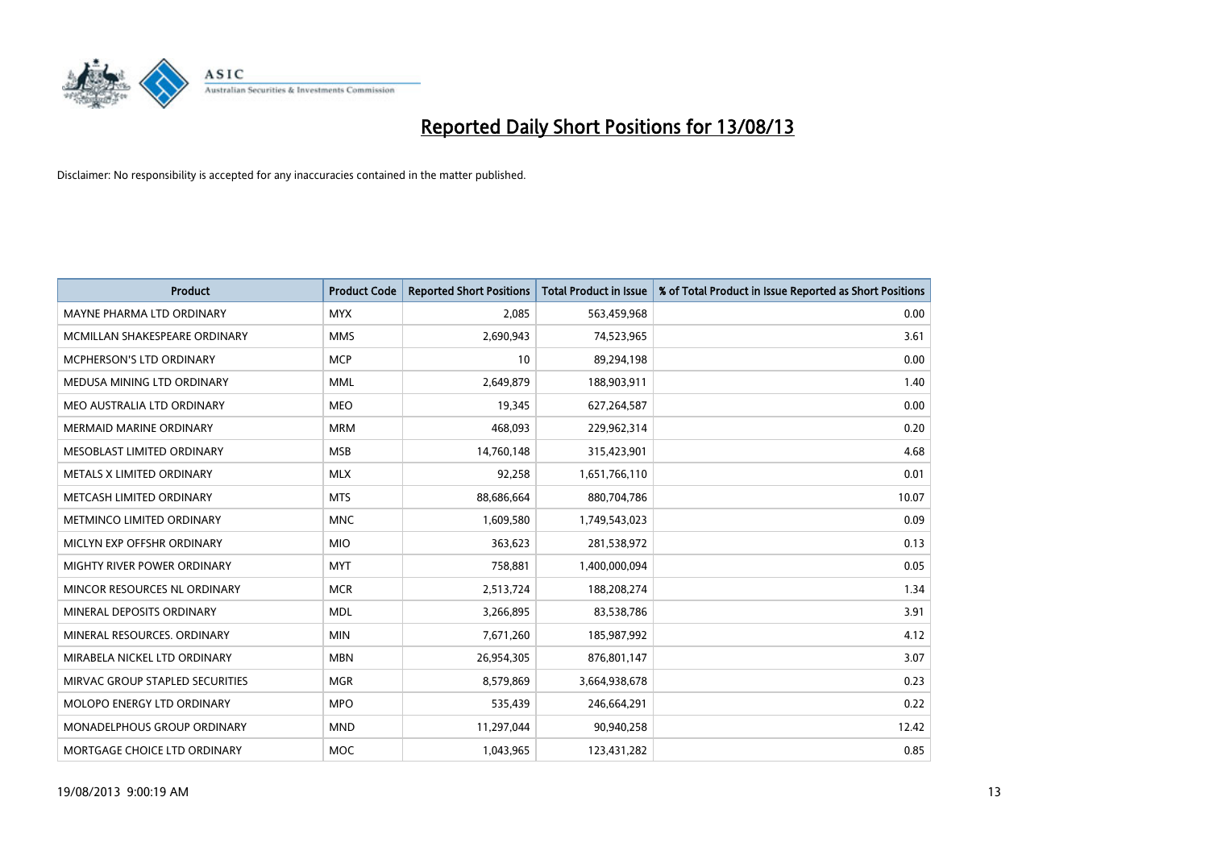

| <b>Product</b>                  | <b>Product Code</b> | <b>Reported Short Positions</b> | <b>Total Product in Issue</b> | % of Total Product in Issue Reported as Short Positions |
|---------------------------------|---------------------|---------------------------------|-------------------------------|---------------------------------------------------------|
| MAYNE PHARMA LTD ORDINARY       | <b>MYX</b>          | 2,085                           | 563,459,968                   | 0.00                                                    |
| MCMILLAN SHAKESPEARE ORDINARY   | <b>MMS</b>          | 2,690,943                       | 74,523,965                    | 3.61                                                    |
| MCPHERSON'S LTD ORDINARY        | <b>MCP</b>          | 10                              | 89,294,198                    | 0.00                                                    |
| MEDUSA MINING LTD ORDINARY      | <b>MML</b>          | 2,649,879                       | 188,903,911                   | 1.40                                                    |
| MEO AUSTRALIA LTD ORDINARY      | <b>MEO</b>          | 19,345                          | 627,264,587                   | 0.00                                                    |
| <b>MERMAID MARINE ORDINARY</b>  | <b>MRM</b>          | 468,093                         | 229,962,314                   | 0.20                                                    |
| MESOBLAST LIMITED ORDINARY      | <b>MSB</b>          | 14,760,148                      | 315,423,901                   | 4.68                                                    |
| METALS X LIMITED ORDINARY       | <b>MLX</b>          | 92,258                          | 1,651,766,110                 | 0.01                                                    |
| METCASH LIMITED ORDINARY        | <b>MTS</b>          | 88,686,664                      | 880,704,786                   | 10.07                                                   |
| METMINCO LIMITED ORDINARY       | <b>MNC</b>          | 1,609,580                       | 1,749,543,023                 | 0.09                                                    |
| MICLYN EXP OFFSHR ORDINARY      | <b>MIO</b>          | 363,623                         | 281,538,972                   | 0.13                                                    |
| MIGHTY RIVER POWER ORDINARY     | <b>MYT</b>          | 758,881                         | 1,400,000,094                 | 0.05                                                    |
| MINCOR RESOURCES NL ORDINARY    | <b>MCR</b>          | 2,513,724                       | 188,208,274                   | 1.34                                                    |
| MINERAL DEPOSITS ORDINARY       | <b>MDL</b>          | 3,266,895                       | 83,538,786                    | 3.91                                                    |
| MINERAL RESOURCES, ORDINARY     | <b>MIN</b>          | 7,671,260                       | 185,987,992                   | 4.12                                                    |
| MIRABELA NICKEL LTD ORDINARY    | <b>MBN</b>          | 26,954,305                      | 876,801,147                   | 3.07                                                    |
| MIRVAC GROUP STAPLED SECURITIES | <b>MGR</b>          | 8,579,869                       | 3,664,938,678                 | 0.23                                                    |
| MOLOPO ENERGY LTD ORDINARY      | <b>MPO</b>          | 535,439                         | 246,664,291                   | 0.22                                                    |
| MONADELPHOUS GROUP ORDINARY     | <b>MND</b>          | 11,297,044                      | 90,940,258                    | 12.42                                                   |
| MORTGAGE CHOICE LTD ORDINARY    | MOC                 | 1,043,965                       | 123,431,282                   | 0.85                                                    |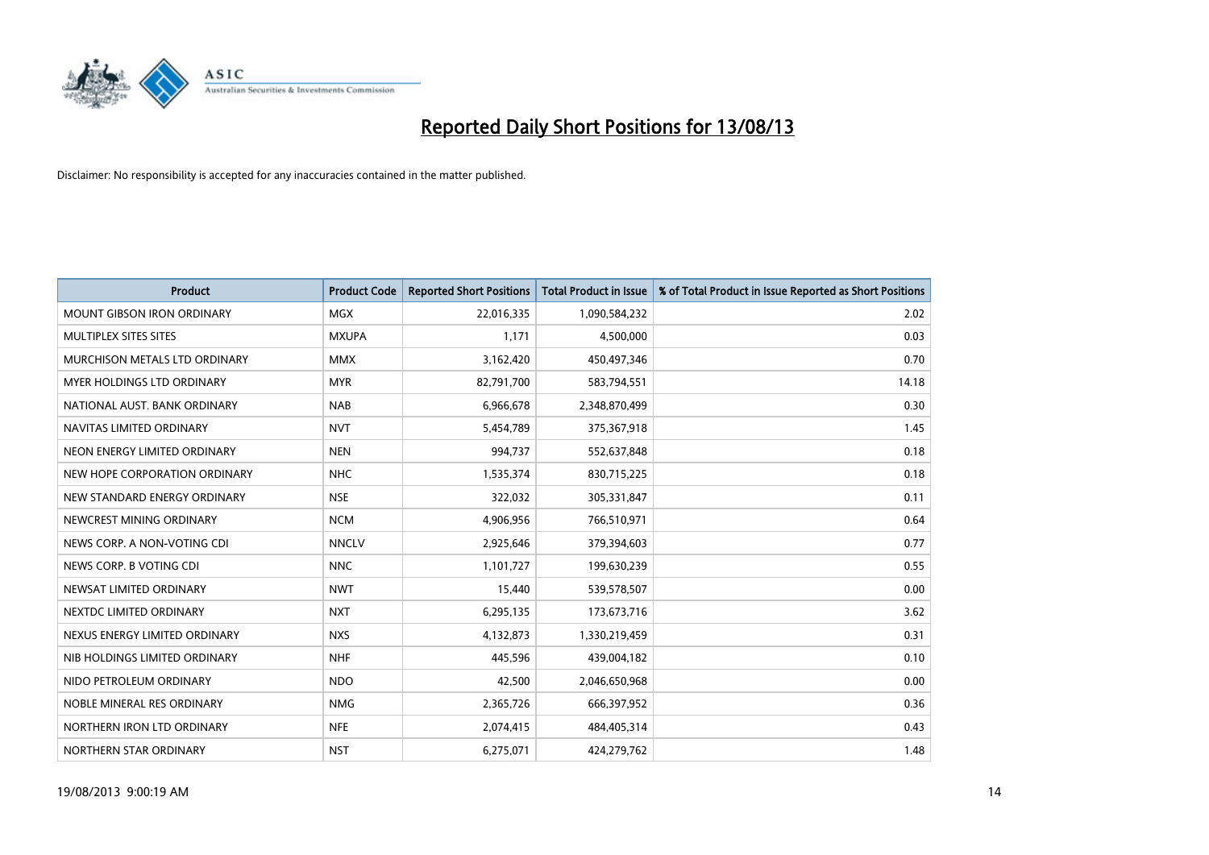

| <b>Product</b>                    | <b>Product Code</b> | <b>Reported Short Positions</b> | <b>Total Product in Issue</b> | % of Total Product in Issue Reported as Short Positions |
|-----------------------------------|---------------------|---------------------------------|-------------------------------|---------------------------------------------------------|
| <b>MOUNT GIBSON IRON ORDINARY</b> | <b>MGX</b>          | 22,016,335                      | 1,090,584,232                 | 2.02                                                    |
| MULTIPLEX SITES SITES             | <b>MXUPA</b>        | 1,171                           | 4,500,000                     | 0.03                                                    |
| MURCHISON METALS LTD ORDINARY     | <b>MMX</b>          | 3,162,420                       | 450,497,346                   | 0.70                                                    |
| MYER HOLDINGS LTD ORDINARY        | <b>MYR</b>          | 82,791,700                      | 583,794,551                   | 14.18                                                   |
| NATIONAL AUST. BANK ORDINARY      | <b>NAB</b>          | 6,966,678                       | 2,348,870,499                 | 0.30                                                    |
| NAVITAS LIMITED ORDINARY          | <b>NVT</b>          | 5,454,789                       | 375,367,918                   | 1.45                                                    |
| NEON ENERGY LIMITED ORDINARY      | <b>NEN</b>          | 994,737                         | 552,637,848                   | 0.18                                                    |
| NEW HOPE CORPORATION ORDINARY     | <b>NHC</b>          | 1,535,374                       | 830,715,225                   | 0.18                                                    |
| NEW STANDARD ENERGY ORDINARY      | <b>NSE</b>          | 322,032                         | 305,331,847                   | 0.11                                                    |
| NEWCREST MINING ORDINARY          | <b>NCM</b>          | 4,906,956                       | 766,510,971                   | 0.64                                                    |
| NEWS CORP. A NON-VOTING CDI       | <b>NNCLV</b>        | 2,925,646                       | 379,394,603                   | 0.77                                                    |
| NEWS CORP. B VOTING CDI           | <b>NNC</b>          | 1,101,727                       | 199,630,239                   | 0.55                                                    |
| NEWSAT LIMITED ORDINARY           | <b>NWT</b>          | 15,440                          | 539,578,507                   | 0.00                                                    |
| NEXTDC LIMITED ORDINARY           | <b>NXT</b>          | 6,295,135                       | 173,673,716                   | 3.62                                                    |
| NEXUS ENERGY LIMITED ORDINARY     | <b>NXS</b>          | 4,132,873                       | 1,330,219,459                 | 0.31                                                    |
| NIB HOLDINGS LIMITED ORDINARY     | <b>NHF</b>          | 445,596                         | 439,004,182                   | 0.10                                                    |
| NIDO PETROLEUM ORDINARY           | <b>NDO</b>          | 42,500                          | 2,046,650,968                 | 0.00                                                    |
| NOBLE MINERAL RES ORDINARY        | <b>NMG</b>          | 2,365,726                       | 666,397,952                   | 0.36                                                    |
| NORTHERN IRON LTD ORDINARY        | <b>NFE</b>          | 2,074,415                       | 484,405,314                   | 0.43                                                    |
| NORTHERN STAR ORDINARY            | <b>NST</b>          | 6,275,071                       | 424,279,762                   | 1.48                                                    |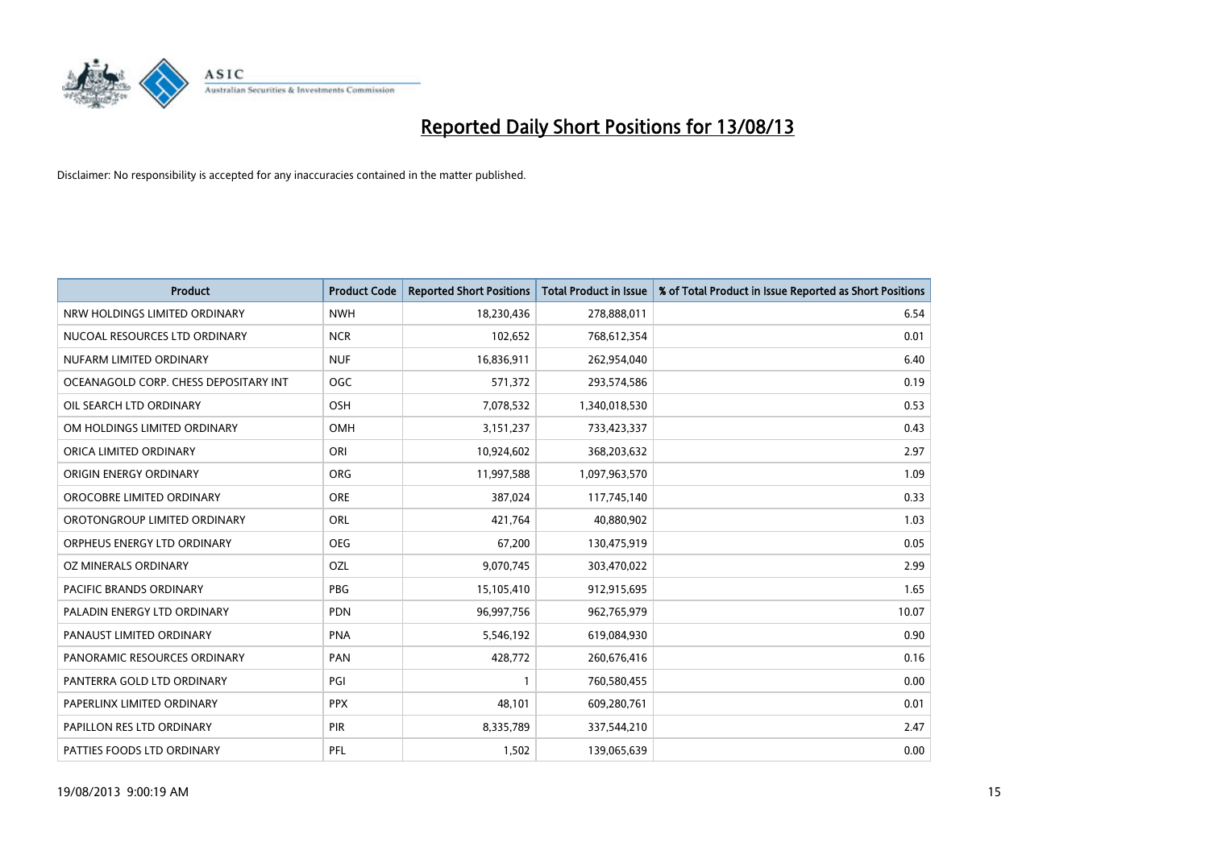

| <b>Product</b>                        | <b>Product Code</b> | <b>Reported Short Positions</b> | <b>Total Product in Issue</b> | % of Total Product in Issue Reported as Short Positions |
|---------------------------------------|---------------------|---------------------------------|-------------------------------|---------------------------------------------------------|
| NRW HOLDINGS LIMITED ORDINARY         | <b>NWH</b>          | 18,230,436                      | 278,888,011                   | 6.54                                                    |
| NUCOAL RESOURCES LTD ORDINARY         | <b>NCR</b>          | 102,652                         | 768,612,354                   | 0.01                                                    |
| NUFARM LIMITED ORDINARY               | <b>NUF</b>          | 16,836,911                      | 262,954,040                   | 6.40                                                    |
| OCEANAGOLD CORP. CHESS DEPOSITARY INT | <b>OGC</b>          | 571,372                         | 293,574,586                   | 0.19                                                    |
| OIL SEARCH LTD ORDINARY               | OSH                 | 7,078,532                       | 1,340,018,530                 | 0.53                                                    |
| OM HOLDINGS LIMITED ORDINARY          | <b>OMH</b>          | 3,151,237                       | 733,423,337                   | 0.43                                                    |
| ORICA LIMITED ORDINARY                | ORI                 | 10,924,602                      | 368,203,632                   | 2.97                                                    |
| ORIGIN ENERGY ORDINARY                | ORG                 | 11,997,588                      | 1,097,963,570                 | 1.09                                                    |
| OROCOBRE LIMITED ORDINARY             | <b>ORE</b>          | 387,024                         | 117,745,140                   | 0.33                                                    |
| OROTONGROUP LIMITED ORDINARY          | ORL                 | 421,764                         | 40,880,902                    | 1.03                                                    |
| ORPHEUS ENERGY LTD ORDINARY           | <b>OEG</b>          | 67,200                          | 130,475,919                   | 0.05                                                    |
| OZ MINERALS ORDINARY                  | OZL                 | 9,070,745                       | 303,470,022                   | 2.99                                                    |
| PACIFIC BRANDS ORDINARY               | <b>PBG</b>          | 15,105,410                      | 912,915,695                   | 1.65                                                    |
| PALADIN ENERGY LTD ORDINARY           | <b>PDN</b>          | 96,997,756                      | 962,765,979                   | 10.07                                                   |
| PANAUST LIMITED ORDINARY              | <b>PNA</b>          | 5,546,192                       | 619,084,930                   | 0.90                                                    |
| PANORAMIC RESOURCES ORDINARY          | PAN                 | 428,772                         | 260,676,416                   | 0.16                                                    |
| PANTERRA GOLD LTD ORDINARY            | PGI                 | $\mathbf{1}$                    | 760,580,455                   | 0.00                                                    |
| PAPERLINX LIMITED ORDINARY            | <b>PPX</b>          | 48,101                          | 609,280,761                   | 0.01                                                    |
| PAPILLON RES LTD ORDINARY             | PIR                 | 8,335,789                       | 337,544,210                   | 2.47                                                    |
| PATTIES FOODS LTD ORDINARY            | PFL                 | 1,502                           | 139,065,639                   | 0.00                                                    |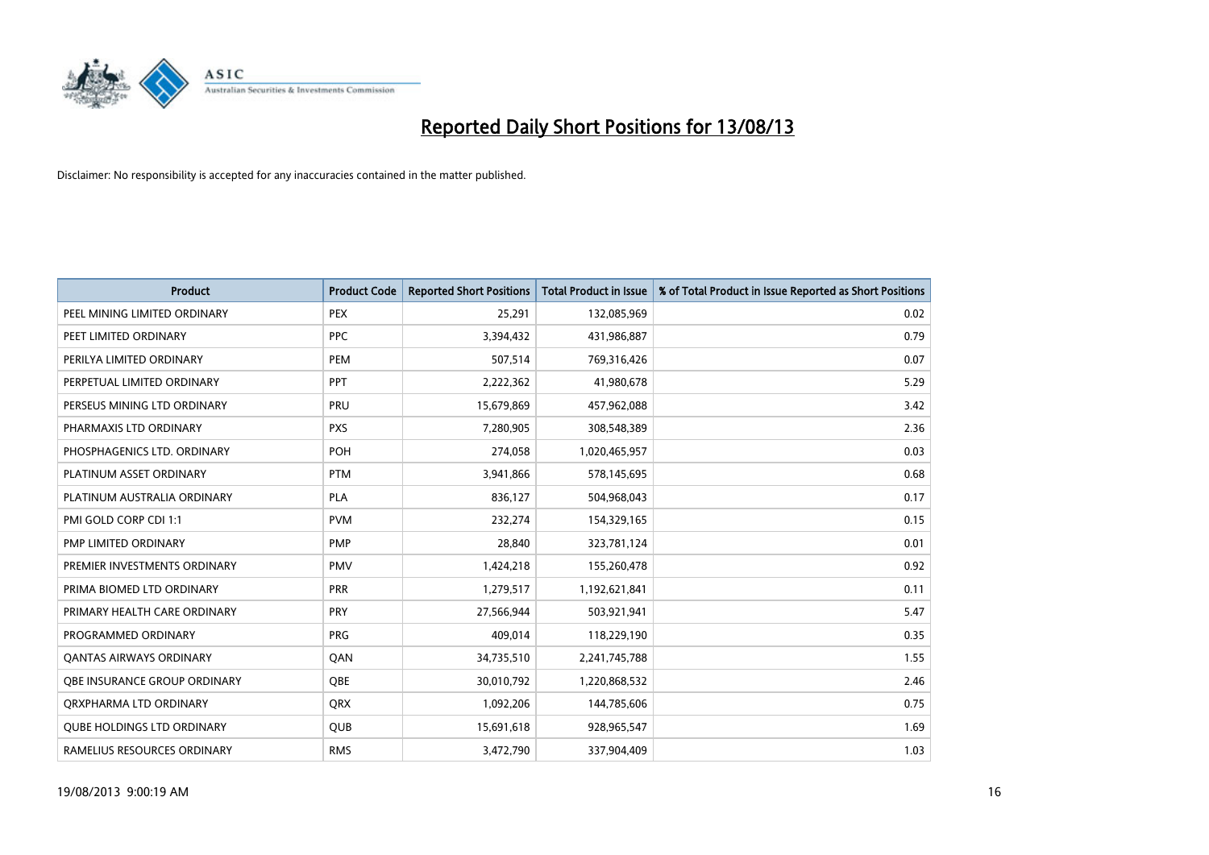

| <b>Product</b>                    | <b>Product Code</b> | <b>Reported Short Positions</b> | <b>Total Product in Issue</b> | % of Total Product in Issue Reported as Short Positions |
|-----------------------------------|---------------------|---------------------------------|-------------------------------|---------------------------------------------------------|
| PEEL MINING LIMITED ORDINARY      | <b>PEX</b>          | 25,291                          | 132,085,969                   | 0.02                                                    |
| PEET LIMITED ORDINARY             | <b>PPC</b>          | 3,394,432                       | 431,986,887                   | 0.79                                                    |
| PERILYA LIMITED ORDINARY          | <b>PEM</b>          | 507,514                         | 769,316,426                   | 0.07                                                    |
| PERPETUAL LIMITED ORDINARY        | PPT                 | 2,222,362                       | 41,980,678                    | 5.29                                                    |
| PERSEUS MINING LTD ORDINARY       | PRU                 | 15,679,869                      | 457,962,088                   | 3.42                                                    |
| PHARMAXIS LTD ORDINARY            | <b>PXS</b>          | 7,280,905                       | 308,548,389                   | 2.36                                                    |
| PHOSPHAGENICS LTD. ORDINARY       | <b>POH</b>          | 274,058                         | 1,020,465,957                 | 0.03                                                    |
| PLATINUM ASSET ORDINARY           | <b>PTM</b>          | 3,941,866                       | 578,145,695                   | 0.68                                                    |
| PLATINUM AUSTRALIA ORDINARY       | PLA                 | 836,127                         | 504,968,043                   | 0.17                                                    |
| PMI GOLD CORP CDI 1:1             | <b>PVM</b>          | 232,274                         | 154,329,165                   | 0.15                                                    |
| PMP LIMITED ORDINARY              | <b>PMP</b>          | 28,840                          | 323,781,124                   | 0.01                                                    |
| PREMIER INVESTMENTS ORDINARY      | <b>PMV</b>          | 1,424,218                       | 155,260,478                   | 0.92                                                    |
| PRIMA BIOMED LTD ORDINARY         | <b>PRR</b>          | 1,279,517                       | 1,192,621,841                 | 0.11                                                    |
| PRIMARY HEALTH CARE ORDINARY      | <b>PRY</b>          | 27,566,944                      | 503,921,941                   | 5.47                                                    |
| PROGRAMMED ORDINARY               | <b>PRG</b>          | 409,014                         | 118,229,190                   | 0.35                                                    |
| <b>QANTAS AIRWAYS ORDINARY</b>    | QAN                 | 34,735,510                      | 2,241,745,788                 | 1.55                                                    |
| OBE INSURANCE GROUP ORDINARY      | <b>OBE</b>          | 30,010,792                      | 1,220,868,532                 | 2.46                                                    |
| ORXPHARMA LTD ORDINARY            | QRX                 | 1,092,206                       | 144,785,606                   | 0.75                                                    |
| <b>QUBE HOLDINGS LTD ORDINARY</b> | QUB                 | 15,691,618                      | 928,965,547                   | 1.69                                                    |
| RAMELIUS RESOURCES ORDINARY       | <b>RMS</b>          | 3,472,790                       | 337,904,409                   | 1.03                                                    |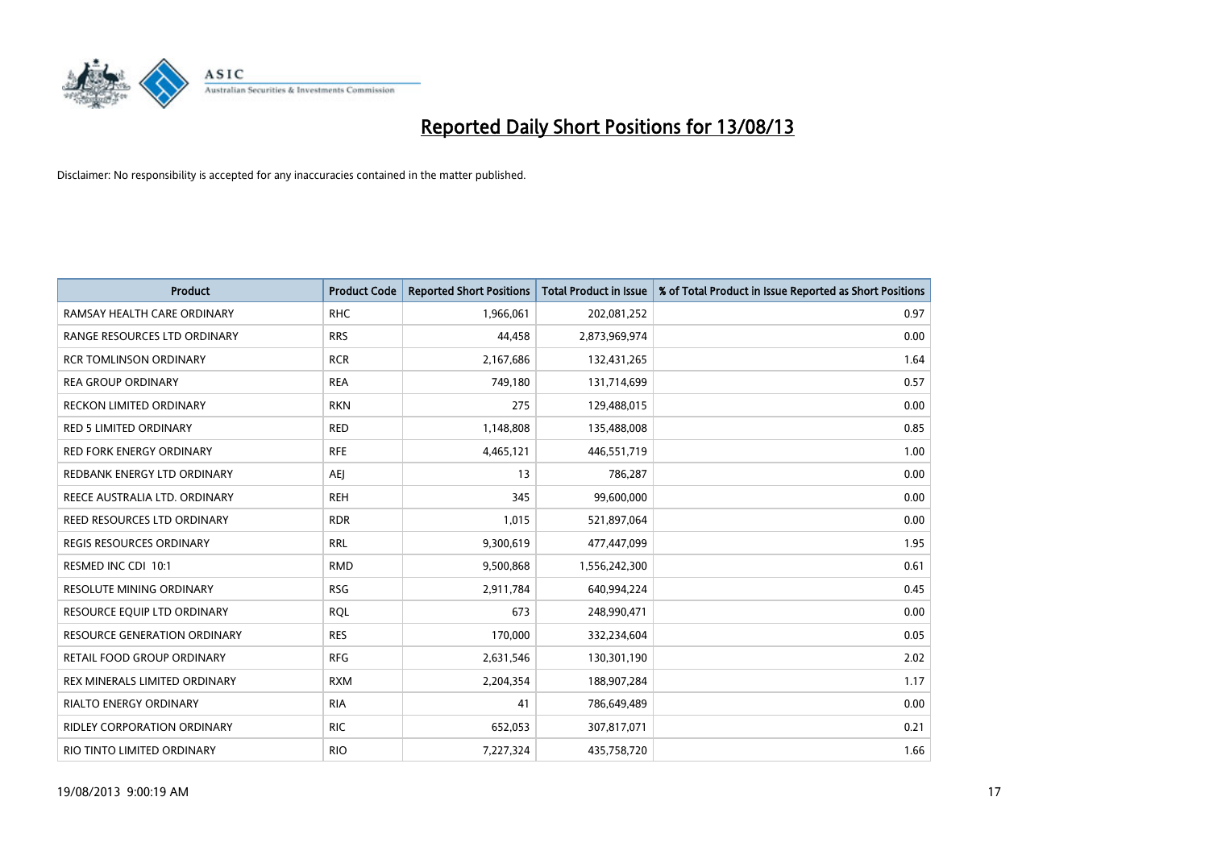

| <b>Product</b>                      | <b>Product Code</b> | <b>Reported Short Positions</b> | <b>Total Product in Issue</b> | % of Total Product in Issue Reported as Short Positions |
|-------------------------------------|---------------------|---------------------------------|-------------------------------|---------------------------------------------------------|
| RAMSAY HEALTH CARE ORDINARY         | <b>RHC</b>          | 1,966,061                       | 202,081,252                   | 0.97                                                    |
| RANGE RESOURCES LTD ORDINARY        | <b>RRS</b>          | 44,458                          | 2,873,969,974                 | 0.00                                                    |
| <b>RCR TOMLINSON ORDINARY</b>       | <b>RCR</b>          | 2,167,686                       | 132,431,265                   | 1.64                                                    |
| <b>REA GROUP ORDINARY</b>           | <b>REA</b>          | 749,180                         | 131,714,699                   | 0.57                                                    |
| <b>RECKON LIMITED ORDINARY</b>      | <b>RKN</b>          | 275                             | 129,488,015                   | 0.00                                                    |
| <b>RED 5 LIMITED ORDINARY</b>       | <b>RED</b>          | 1,148,808                       | 135,488,008                   | 0.85                                                    |
| <b>RED FORK ENERGY ORDINARY</b>     | <b>RFE</b>          | 4,465,121                       | 446,551,719                   | 1.00                                                    |
| REDBANK ENERGY LTD ORDINARY         | AEJ                 | 13                              | 786,287                       | 0.00                                                    |
| REECE AUSTRALIA LTD. ORDINARY       | <b>REH</b>          | 345                             | 99,600,000                    | 0.00                                                    |
| REED RESOURCES LTD ORDINARY         | <b>RDR</b>          | 1,015                           | 521,897,064                   | 0.00                                                    |
| REGIS RESOURCES ORDINARY            | <b>RRL</b>          | 9,300,619                       | 477,447,099                   | 1.95                                                    |
| RESMED INC CDI 10:1                 | <b>RMD</b>          | 9,500,868                       | 1,556,242,300                 | 0.61                                                    |
| RESOLUTE MINING ORDINARY            | <b>RSG</b>          | 2,911,784                       | 640,994,224                   | 0.45                                                    |
| RESOURCE EQUIP LTD ORDINARY         | <b>ROL</b>          | 673                             | 248,990,471                   | 0.00                                                    |
| <b>RESOURCE GENERATION ORDINARY</b> | <b>RES</b>          | 170,000                         | 332,234,604                   | 0.05                                                    |
| <b>RETAIL FOOD GROUP ORDINARY</b>   | <b>RFG</b>          | 2,631,546                       | 130,301,190                   | 2.02                                                    |
| REX MINERALS LIMITED ORDINARY       | <b>RXM</b>          | 2,204,354                       | 188,907,284                   | 1.17                                                    |
| RIALTO ENERGY ORDINARY              | <b>RIA</b>          | 41                              | 786,649,489                   | 0.00                                                    |
| <b>RIDLEY CORPORATION ORDINARY</b>  | <b>RIC</b>          | 652,053                         | 307,817,071                   | 0.21                                                    |
| RIO TINTO LIMITED ORDINARY          | <b>RIO</b>          | 7,227,324                       | 435,758,720                   | 1.66                                                    |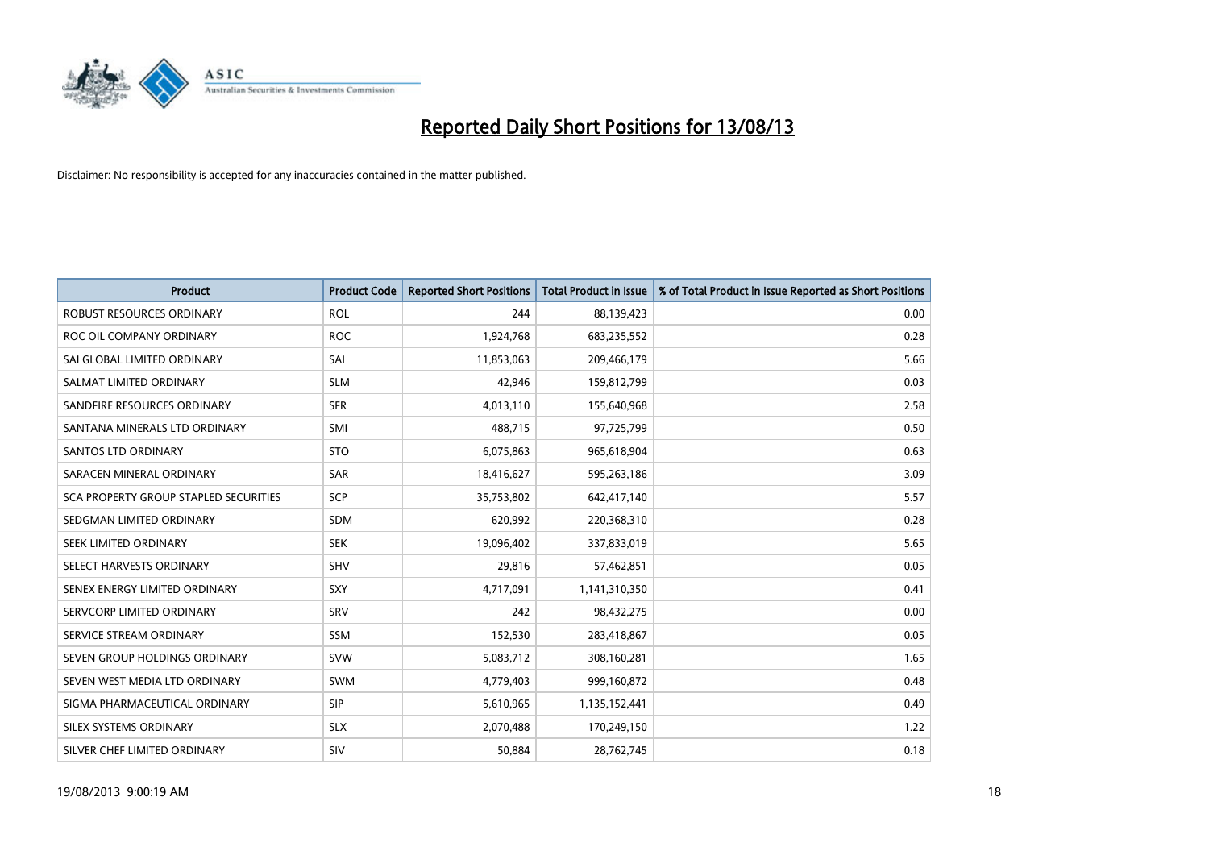

| <b>Product</b>                               | <b>Product Code</b> | <b>Reported Short Positions</b> | <b>Total Product in Issue</b> | % of Total Product in Issue Reported as Short Positions |
|----------------------------------------------|---------------------|---------------------------------|-------------------------------|---------------------------------------------------------|
| <b>ROBUST RESOURCES ORDINARY</b>             | <b>ROL</b>          | 244                             | 88,139,423                    | 0.00                                                    |
| ROC OIL COMPANY ORDINARY                     | <b>ROC</b>          | 1,924,768                       | 683,235,552                   | 0.28                                                    |
| SAI GLOBAL LIMITED ORDINARY                  | SAI                 | 11,853,063                      | 209,466,179                   | 5.66                                                    |
| SALMAT LIMITED ORDINARY                      | <b>SLM</b>          | 42,946                          | 159,812,799                   | 0.03                                                    |
| SANDFIRE RESOURCES ORDINARY                  | <b>SFR</b>          | 4,013,110                       | 155,640,968                   | 2.58                                                    |
| SANTANA MINERALS LTD ORDINARY                | SMI                 | 488,715                         | 97,725,799                    | 0.50                                                    |
| SANTOS LTD ORDINARY                          | <b>STO</b>          | 6,075,863                       | 965,618,904                   | 0.63                                                    |
| SARACEN MINERAL ORDINARY                     | <b>SAR</b>          | 18,416,627                      | 595,263,186                   | 3.09                                                    |
| <b>SCA PROPERTY GROUP STAPLED SECURITIES</b> | <b>SCP</b>          | 35,753,802                      | 642,417,140                   | 5.57                                                    |
| SEDGMAN LIMITED ORDINARY                     | <b>SDM</b>          | 620,992                         | 220,368,310                   | 0.28                                                    |
| SEEK LIMITED ORDINARY                        | <b>SEK</b>          | 19,096,402                      | 337,833,019                   | 5.65                                                    |
| SELECT HARVESTS ORDINARY                     | SHV                 | 29,816                          | 57,462,851                    | 0.05                                                    |
| SENEX ENERGY LIMITED ORDINARY                | <b>SXY</b>          | 4,717,091                       | 1,141,310,350                 | 0.41                                                    |
| SERVCORP LIMITED ORDINARY                    | SRV                 | 242                             | 98,432,275                    | 0.00                                                    |
| SERVICE STREAM ORDINARY                      | <b>SSM</b>          | 152,530                         | 283,418,867                   | 0.05                                                    |
| SEVEN GROUP HOLDINGS ORDINARY                | <b>SVW</b>          | 5,083,712                       | 308,160,281                   | 1.65                                                    |
| SEVEN WEST MEDIA LTD ORDINARY                | <b>SWM</b>          | 4,779,403                       | 999,160,872                   | 0.48                                                    |
| SIGMA PHARMACEUTICAL ORDINARY                | <b>SIP</b>          | 5,610,965                       | 1,135,152,441                 | 0.49                                                    |
| SILEX SYSTEMS ORDINARY                       | <b>SLX</b>          | 2,070,488                       | 170,249,150                   | 1.22                                                    |
| SILVER CHEF LIMITED ORDINARY                 | SIV                 | 50,884                          | 28,762,745                    | 0.18                                                    |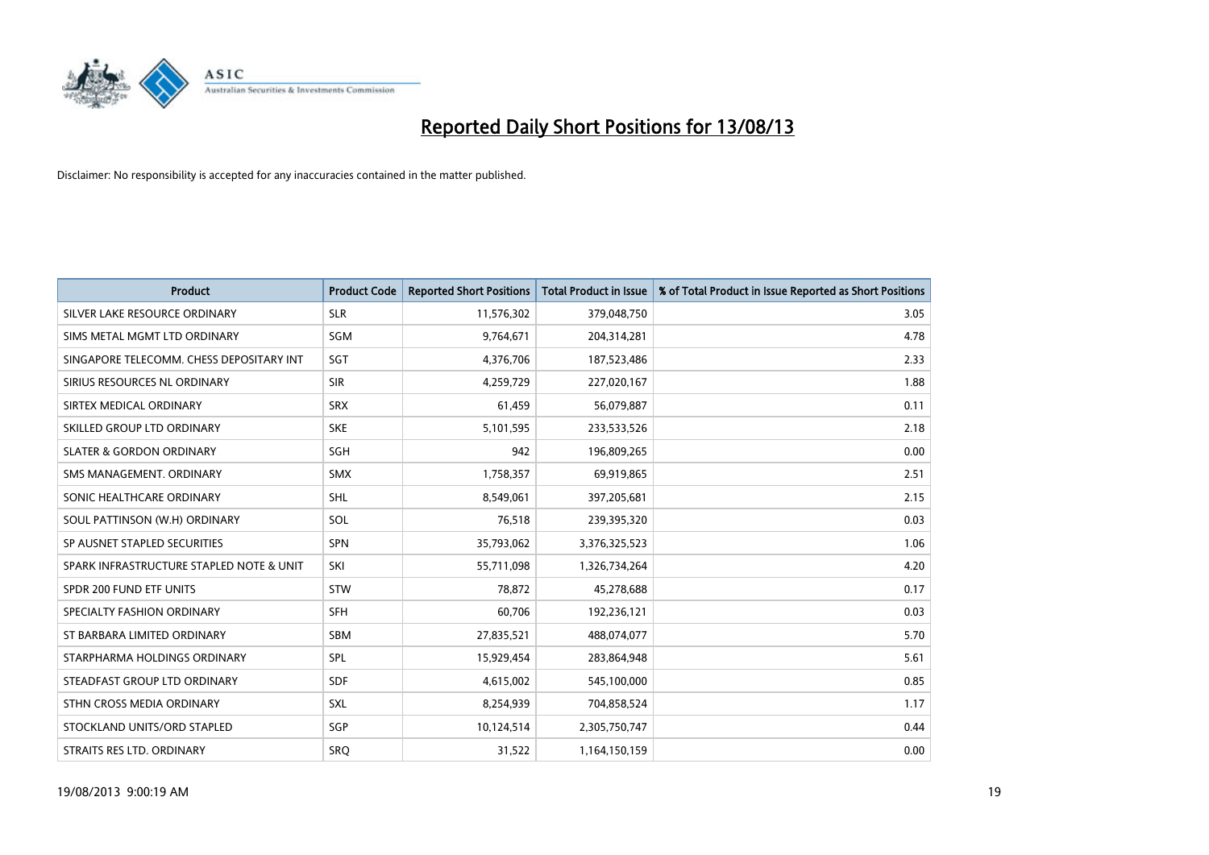

| <b>Product</b>                           | <b>Product Code</b> | <b>Reported Short Positions</b> | <b>Total Product in Issue</b> | % of Total Product in Issue Reported as Short Positions |
|------------------------------------------|---------------------|---------------------------------|-------------------------------|---------------------------------------------------------|
| SILVER LAKE RESOURCE ORDINARY            | <b>SLR</b>          | 11,576,302                      | 379,048,750                   | 3.05                                                    |
| SIMS METAL MGMT LTD ORDINARY             | <b>SGM</b>          | 9,764,671                       | 204,314,281                   | 4.78                                                    |
| SINGAPORE TELECOMM. CHESS DEPOSITARY INT | SGT                 | 4,376,706                       | 187,523,486                   | 2.33                                                    |
| SIRIUS RESOURCES NL ORDINARY             | <b>SIR</b>          | 4,259,729                       | 227,020,167                   | 1.88                                                    |
| SIRTEX MEDICAL ORDINARY                  | <b>SRX</b>          | 61,459                          | 56,079,887                    | 0.11                                                    |
| SKILLED GROUP LTD ORDINARY               | <b>SKE</b>          | 5,101,595                       | 233,533,526                   | 2.18                                                    |
| <b>SLATER &amp; GORDON ORDINARY</b>      | SGH                 | 942                             | 196,809,265                   | 0.00                                                    |
| SMS MANAGEMENT. ORDINARY                 | <b>SMX</b>          | 1,758,357                       | 69,919,865                    | 2.51                                                    |
| SONIC HEALTHCARE ORDINARY                | <b>SHL</b>          | 8,549,061                       | 397,205,681                   | 2.15                                                    |
| SOUL PATTINSON (W.H) ORDINARY            | <b>SOL</b>          | 76,518                          | 239,395,320                   | 0.03                                                    |
| SP AUSNET STAPLED SECURITIES             | <b>SPN</b>          | 35,793,062                      | 3,376,325,523                 | 1.06                                                    |
| SPARK INFRASTRUCTURE STAPLED NOTE & UNIT | SKI                 | 55,711,098                      | 1,326,734,264                 | 4.20                                                    |
| SPDR 200 FUND ETF UNITS                  | <b>STW</b>          | 78,872                          | 45,278,688                    | 0.17                                                    |
| SPECIALTY FASHION ORDINARY               | SFH                 | 60,706                          | 192,236,121                   | 0.03                                                    |
| ST BARBARA LIMITED ORDINARY              | <b>SBM</b>          | 27,835,521                      | 488,074,077                   | 5.70                                                    |
| STARPHARMA HOLDINGS ORDINARY             | SPL                 | 15,929,454                      | 283,864,948                   | 5.61                                                    |
| STEADFAST GROUP LTD ORDINARY             | <b>SDF</b>          | 4,615,002                       | 545,100,000                   | 0.85                                                    |
| STHN CROSS MEDIA ORDINARY                | <b>SXL</b>          | 8,254,939                       | 704,858,524                   | 1.17                                                    |
| STOCKLAND UNITS/ORD STAPLED              | SGP                 | 10,124,514                      | 2,305,750,747                 | 0.44                                                    |
| STRAITS RES LTD. ORDINARY                | SRQ                 | 31,522                          | 1,164,150,159                 | 0.00                                                    |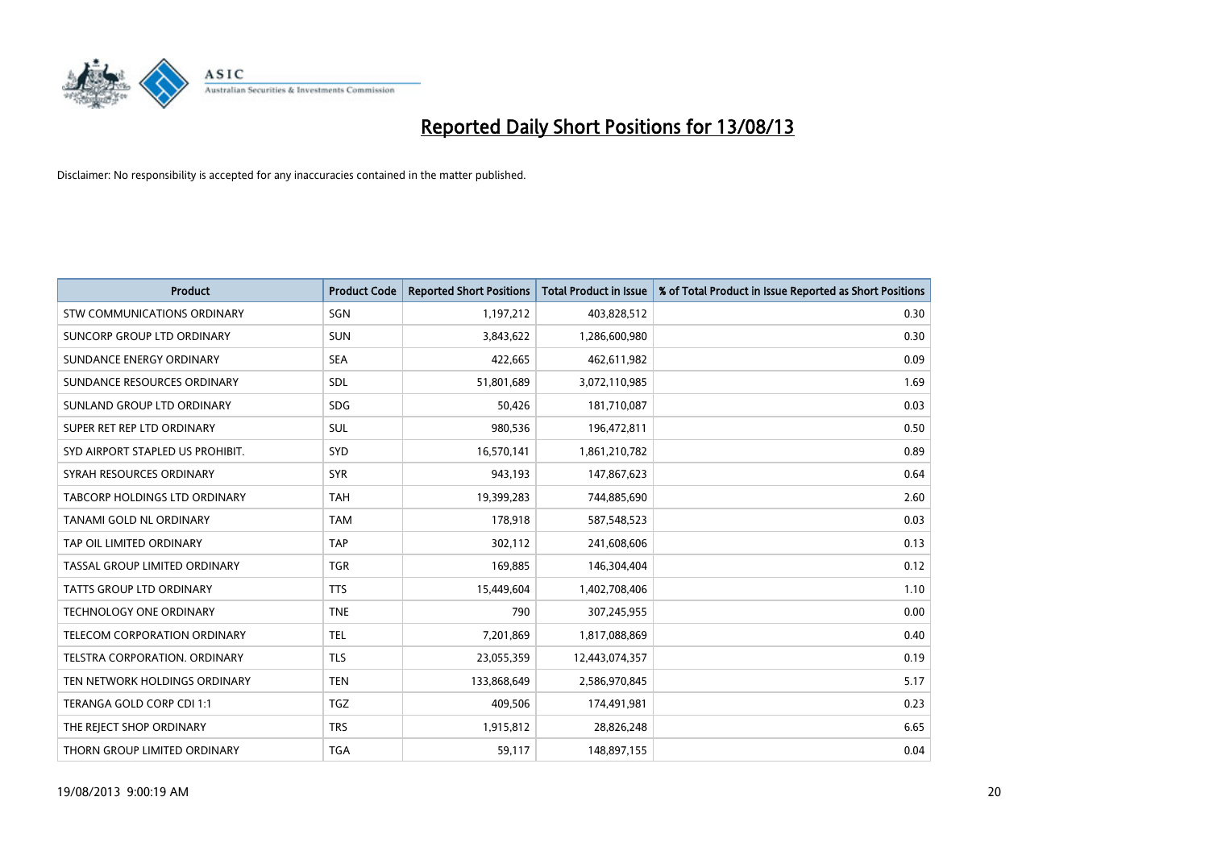

| <b>Product</b>                     | <b>Product Code</b> | <b>Reported Short Positions</b> | <b>Total Product in Issue</b> | % of Total Product in Issue Reported as Short Positions |
|------------------------------------|---------------------|---------------------------------|-------------------------------|---------------------------------------------------------|
| <b>STW COMMUNICATIONS ORDINARY</b> | SGN                 | 1,197,212                       | 403,828,512                   | 0.30                                                    |
| SUNCORP GROUP LTD ORDINARY         | <b>SUN</b>          | 3,843,622                       | 1,286,600,980                 | 0.30                                                    |
| SUNDANCE ENERGY ORDINARY           | <b>SEA</b>          | 422,665                         | 462,611,982                   | 0.09                                                    |
| SUNDANCE RESOURCES ORDINARY        | SDL                 | 51,801,689                      | 3,072,110,985                 | 1.69                                                    |
| SUNLAND GROUP LTD ORDINARY         | <b>SDG</b>          | 50,426                          | 181,710,087                   | 0.03                                                    |
| SUPER RET REP LTD ORDINARY         | SUL                 | 980,536                         | 196,472,811                   | 0.50                                                    |
| SYD AIRPORT STAPLED US PROHIBIT.   | <b>SYD</b>          | 16,570,141                      | 1,861,210,782                 | 0.89                                                    |
| SYRAH RESOURCES ORDINARY           | <b>SYR</b>          | 943,193                         | 147,867,623                   | 0.64                                                    |
| TABCORP HOLDINGS LTD ORDINARY      | <b>TAH</b>          | 19,399,283                      | 744,885,690                   | 2.60                                                    |
| <b>TANAMI GOLD NL ORDINARY</b>     | <b>TAM</b>          | 178,918                         | 587,548,523                   | 0.03                                                    |
| TAP OIL LIMITED ORDINARY           | <b>TAP</b>          | 302,112                         | 241,608,606                   | 0.13                                                    |
| TASSAL GROUP LIMITED ORDINARY      | <b>TGR</b>          | 169,885                         | 146,304,404                   | 0.12                                                    |
| <b>TATTS GROUP LTD ORDINARY</b>    | <b>TTS</b>          | 15,449,604                      | 1,402,708,406                 | 1.10                                                    |
| <b>TECHNOLOGY ONE ORDINARY</b>     | <b>TNE</b>          | 790                             | 307,245,955                   | 0.00                                                    |
| TELECOM CORPORATION ORDINARY       | <b>TEL</b>          | 7,201,869                       | 1,817,088,869                 | 0.40                                                    |
| TELSTRA CORPORATION. ORDINARY      | <b>TLS</b>          | 23,055,359                      | 12,443,074,357                | 0.19                                                    |
| TEN NETWORK HOLDINGS ORDINARY      | <b>TEN</b>          | 133,868,649                     | 2,586,970,845                 | 5.17                                                    |
| TERANGA GOLD CORP CDI 1:1          | <b>TGZ</b>          | 409,506                         | 174,491,981                   | 0.23                                                    |
| THE REJECT SHOP ORDINARY           | <b>TRS</b>          | 1,915,812                       | 28,826,248                    | 6.65                                                    |
| THORN GROUP LIMITED ORDINARY       | <b>TGA</b>          | 59,117                          | 148,897,155                   | 0.04                                                    |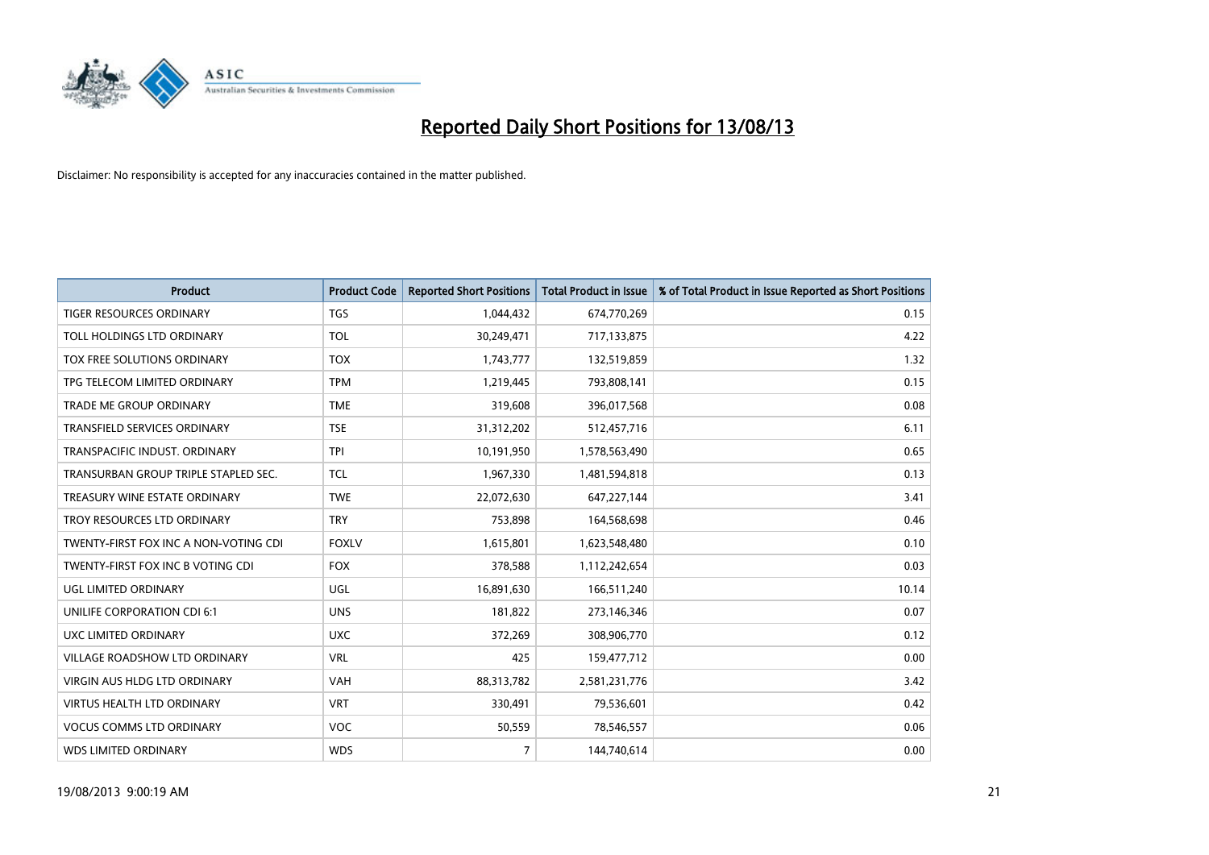

| <b>Product</b>                        | <b>Product Code</b> | <b>Reported Short Positions</b> | <b>Total Product in Issue</b> | % of Total Product in Issue Reported as Short Positions |
|---------------------------------------|---------------------|---------------------------------|-------------------------------|---------------------------------------------------------|
| <b>TIGER RESOURCES ORDINARY</b>       | <b>TGS</b>          | 1,044,432                       | 674,770,269                   | 0.15                                                    |
| TOLL HOLDINGS LTD ORDINARY            | <b>TOL</b>          | 30,249,471                      | 717,133,875                   | 4.22                                                    |
| TOX FREE SOLUTIONS ORDINARY           | <b>TOX</b>          | 1,743,777                       | 132,519,859                   | 1.32                                                    |
| TPG TELECOM LIMITED ORDINARY          | <b>TPM</b>          | 1,219,445                       | 793,808,141                   | 0.15                                                    |
| <b>TRADE ME GROUP ORDINARY</b>        | <b>TME</b>          | 319,608                         | 396,017,568                   | 0.08                                                    |
| <b>TRANSFIELD SERVICES ORDINARY</b>   | <b>TSE</b>          | 31,312,202                      | 512,457,716                   | 6.11                                                    |
| TRANSPACIFIC INDUST, ORDINARY         | <b>TPI</b>          | 10,191,950                      | 1,578,563,490                 | 0.65                                                    |
| TRANSURBAN GROUP TRIPLE STAPLED SEC.  | <b>TCL</b>          | 1,967,330                       | 1,481,594,818                 | 0.13                                                    |
| TREASURY WINE ESTATE ORDINARY         | <b>TWE</b>          | 22,072,630                      | 647,227,144                   | 3.41                                                    |
| TROY RESOURCES LTD ORDINARY           | <b>TRY</b>          | 753,898                         | 164,568,698                   | 0.46                                                    |
| TWENTY-FIRST FOX INC A NON-VOTING CDI | <b>FOXLV</b>        | 1,615,801                       | 1,623,548,480                 | 0.10                                                    |
| TWENTY-FIRST FOX INC B VOTING CDI     | <b>FOX</b>          | 378,588                         | 1,112,242,654                 | 0.03                                                    |
| UGL LIMITED ORDINARY                  | UGL                 | 16,891,630                      | 166,511,240                   | 10.14                                                   |
| UNILIFE CORPORATION CDI 6:1           | <b>UNS</b>          | 181,822                         | 273,146,346                   | 0.07                                                    |
| UXC LIMITED ORDINARY                  | <b>UXC</b>          | 372,269                         | 308,906,770                   | 0.12                                                    |
| <b>VILLAGE ROADSHOW LTD ORDINARY</b>  | <b>VRL</b>          | 425                             | 159,477,712                   | 0.00                                                    |
| <b>VIRGIN AUS HLDG LTD ORDINARY</b>   | VAH                 | 88,313,782                      | 2,581,231,776                 | 3.42                                                    |
| <b>VIRTUS HEALTH LTD ORDINARY</b>     | <b>VRT</b>          | 330,491                         | 79,536,601                    | 0.42                                                    |
| <b>VOCUS COMMS LTD ORDINARY</b>       | <b>VOC</b>          | 50,559                          | 78,546,557                    | 0.06                                                    |
| <b>WDS LIMITED ORDINARY</b>           | <b>WDS</b>          | $\overline{7}$                  | 144,740,614                   | 0.00                                                    |